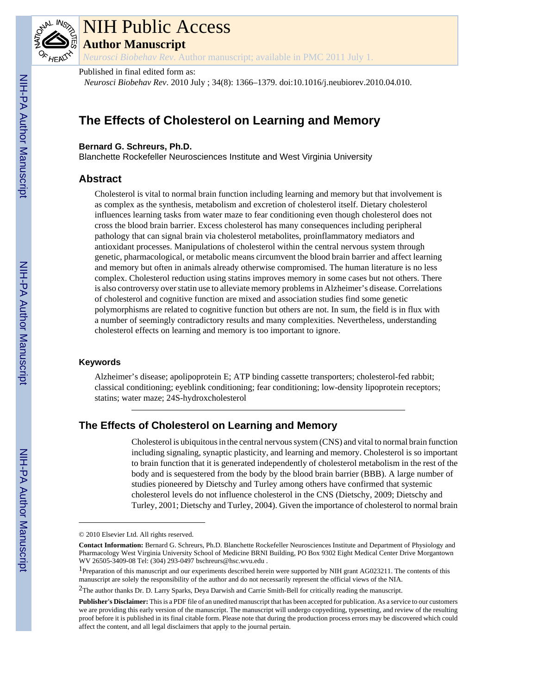

# NIH Public Access

**Author Manuscript**

*Neurosci Biobehav Rev*. Author manuscript; available in PMC 2011 July 1.

## Published in final edited form as:

*Neurosci Biobehav Rev*. 2010 July ; 34(8): 1366–1379. doi:10.1016/j.neubiorev.2010.04.010.

## **The Effects of Cholesterol on Learning and Memory**

## **Bernard G. Schreurs, Ph.D.**

Blanchette Rockefeller Neurosciences Institute and West Virginia University

## **Abstract**

Cholesterol is vital to normal brain function including learning and memory but that involvement is as complex as the synthesis, metabolism and excretion of cholesterol itself. Dietary cholesterol influences learning tasks from water maze to fear conditioning even though cholesterol does not cross the blood brain barrier. Excess cholesterol has many consequences including peripheral pathology that can signal brain via cholesterol metabolites, proinflammatory mediators and antioxidant processes. Manipulations of cholesterol within the central nervous system through genetic, pharmacological, or metabolic means circumvent the blood brain barrier and affect learning and memory but often in animals already otherwise compromised. The human literature is no less complex. Cholesterol reduction using statins improves memory in some cases but not others. There is also controversy over statin use to alleviate memory problems in Alzheimer's disease. Correlations of cholesterol and cognitive function are mixed and association studies find some genetic polymorphisms are related to cognitive function but others are not. In sum, the field is in flux with a number of seemingly contradictory results and many complexities. Nevertheless, understanding cholesterol effects on learning and memory is too important to ignore.

## **Keywords**

Alzheimer's disease; apolipoprotein E; ATP binding cassette transporters; cholesterol-fed rabbit; classical conditioning; eyeblink conditioning; fear conditioning; low-density lipoprotein receptors; statins; water maze; 24S-hydroxcholesterol

## **The Effects of Cholesterol on Learning and Memory**

Cholesterol is ubiquitous in the central nervous system (CNS) and vital to normal brain function including signaling, synaptic plasticity, and learning and memory. Cholesterol is so important to brain function that it is generated independently of cholesterol metabolism in the rest of the body and is sequestered from the body by the blood brain barrier (BBB). A large number of studies pioneered by Dietschy and Turley among others have confirmed that systemic cholesterol levels do not influence cholesterol in the CNS (Dietschy, 2009; Dietschy and Turley, 2001; Dietschy and Turley, 2004). Given the importance of cholesterol to normal brain

<sup>© 2010</sup> Elsevier Ltd. All rights reserved.

**Contact Information:** Bernard G. Schreurs, Ph.D. Blanchette Rockefeller Neurosciences Institute and Department of Physiology and Pharmacology West Virginia University School of Medicine BRNI Building, PO Box 9302 Eight Medical Center Drive Morgantown WV 26505-3409-08 Tel: (304) 293-0497 bschreurs@hsc.wvu.edu .

<sup>1</sup>Preparation of this manuscript and our experiments described herein were supported by NIH grant AG023211. The contents of this manuscript are solely the responsibility of the author and do not necessarily represent the official views of the NIA.

<sup>2</sup>The author thanks Dr. D. Larry Sparks, Deya Darwish and Carrie Smith-Bell for critically reading the manuscript.

**Publisher's Disclaimer:** This is a PDF file of an unedited manuscript that has been accepted for publication. As a service to our customers we are providing this early version of the manuscript. The manuscript will undergo copyediting, typesetting, and review of the resulting proof before it is published in its final citable form. Please note that during the production process errors may be discovered which could affect the content, and all legal disclaimers that apply to the journal pertain.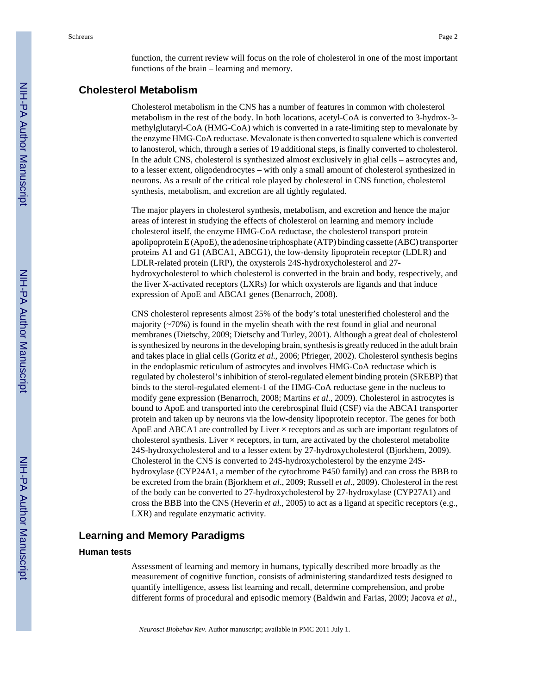function, the current review will focus on the role of cholesterol in one of the most important functions of the brain – learning and memory.

## **Cholesterol Metabolism**

Cholesterol metabolism in the CNS has a number of features in common with cholesterol metabolism in the rest of the body. In both locations, acetyl-CoA is converted to 3-hydrox-3 methylglutaryl-CoA (HMG-CoA) which is converted in a rate-limiting step to mevalonate by the enzyme HMG-CoA reductase. Mevalonate is then converted to squalene which is converted to lanosterol, which, through a series of 19 additional steps, is finally converted to cholesterol. In the adult CNS, cholesterol is synthesized almost exclusively in glial cells – astrocytes and, to a lesser extent, oligodendrocytes – with only a small amount of cholesterol synthesized in neurons. As a result of the critical role played by cholesterol in CNS function, cholesterol synthesis, metabolism, and excretion are all tightly regulated.

The major players in cholesterol synthesis, metabolism, and excretion and hence the major areas of interest in studying the effects of cholesterol on learning and memory include cholesterol itself, the enzyme HMG-CoA reductase, the cholesterol transport protein apolipoprotein E (ApoE), the adenosine triphosphate (ATP) binding cassette (ABC) transporter proteins A1 and G1 (ABCA1, ABCG1), the low-density lipoprotein receptor (LDLR) and LDLR-related protein (LRP), the oxysterols 24S-hydroxycholesterol and 27 hydroxycholesterol to which cholesterol is converted in the brain and body, respectively, and the liver X-activated receptors (LXRs) for which oxysterols are ligands and that induce expression of ApoE and ABCA1 genes (Benarroch, 2008).

CNS cholesterol represents almost 25% of the body's total unesterified cholesterol and the majority  $(\sim 70\%)$  is found in the myelin sheath with the rest found in glial and neuronal membranes (Dietschy, 2009; Dietschy and Turley, 2001). Although a great deal of cholesterol is synthesized by neurons in the developing brain, synthesis is greatly reduced in the adult brain and takes place in glial cells (Goritz *et al*., 2006; Pfrieger, 2002). Cholesterol synthesis begins in the endoplasmic reticulum of astrocytes and involves HMG-CoA reductase which is regulated by cholesterol's inhibition of sterol-regulated element binding protein (SREBP) that binds to the sterol-regulated element-1 of the HMG-CoA reductase gene in the nucleus to modify gene expression (Benarroch, 2008; Martins *et al*., 2009). Cholesterol in astrocytes is bound to ApoE and transported into the cerebrospinal fluid (CSF) via the ABCA1 transporter protein and taken up by neurons via the low-density lipoprotein receptor. The genes for both ApoE and ABCA1 are controlled by Liver  $\times$  receptors and as such are important regulators of cholesterol synthesis. Liver  $\times$  receptors, in turn, are activated by the cholesterol metabolite 24S-hydroxycholesterol and to a lesser extent by 27-hydroxycholesterol (Bjorkhem, 2009). Cholesterol in the CNS is converted to 24S-hydroxycholesterol by the enzyme 24Shydroxylase (CYP24A1, a member of the cytochrome P450 family) and can cross the BBB to be excreted from the brain (Bjorkhem *et al*., 2009; Russell *et al*., 2009). Cholesterol in the rest of the body can be converted to 27-hydroxycholesterol by 27-hydroxylase (CYP27A1) and cross the BBB into the CNS (Heverin *et al*., 2005) to act as a ligand at specific receptors (e.g., LXR) and regulate enzymatic activity.

## **Learning and Memory Paradigms**

#### **Human tests**

Assessment of learning and memory in humans, typically described more broadly as the measurement of cognitive function, consists of administering standardized tests designed to quantify intelligence, assess list learning and recall, determine comprehension, and probe different forms of procedural and episodic memory (Baldwin and Farias, 2009; Jacova *et al*.,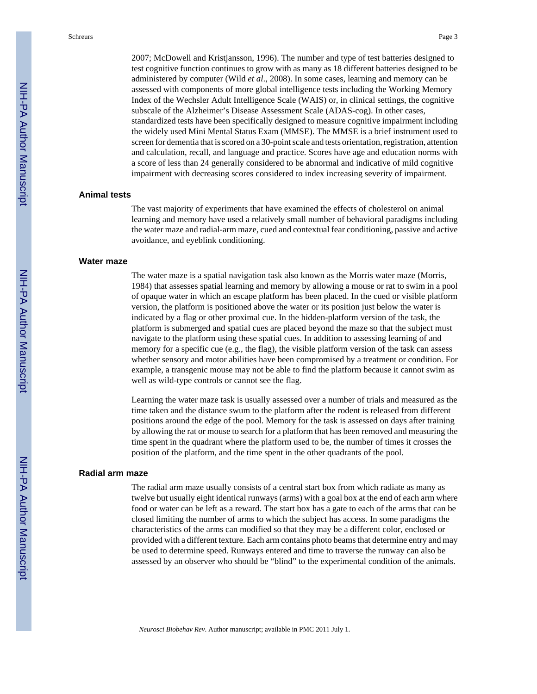2007; McDowell and Kristjansson, 1996). The number and type of test batteries designed to test cognitive function continues to grow with as many as 18 different batteries designed to be administered by computer (Wild *et al*., 2008). In some cases, learning and memory can be assessed with components of more global intelligence tests including the Working Memory Index of the Wechsler Adult Intelligence Scale (WAIS) or, in clinical settings, the cognitive subscale of the Alzheimer's Disease Assessment Scale (ADAS-cog). In other cases, standardized tests have been specifically designed to measure cognitive impairment including the widely used Mini Mental Status Exam (MMSE). The MMSE is a brief instrument used to screen for dementia that is scored on a 30-point scale and tests orientation, registration, attention and calculation, recall, and language and practice. Scores have age and education norms with a score of less than 24 generally considered to be abnormal and indicative of mild cognitive impairment with decreasing scores considered to index increasing severity of impairment.

#### **Animal tests**

The vast majority of experiments that have examined the effects of cholesterol on animal learning and memory have used a relatively small number of behavioral paradigms including the water maze and radial-arm maze, cued and contextual fear conditioning, passive and active avoidance, and eyeblink conditioning.

#### **Water maze**

The water maze is a spatial navigation task also known as the Morris water maze (Morris, 1984) that assesses spatial learning and memory by allowing a mouse or rat to swim in a pool of opaque water in which an escape platform has been placed. In the cued or visible platform version, the platform is positioned above the water or its position just below the water is indicated by a flag or other proximal cue. In the hidden-platform version of the task, the platform is submerged and spatial cues are placed beyond the maze so that the subject must navigate to the platform using these spatial cues. In addition to assessing learning of and memory for a specific cue (e.g., the flag), the visible platform version of the task can assess whether sensory and motor abilities have been compromised by a treatment or condition. For example, a transgenic mouse may not be able to find the platform because it cannot swim as well as wild-type controls or cannot see the flag.

Learning the water maze task is usually assessed over a number of trials and measured as the time taken and the distance swum to the platform after the rodent is released from different positions around the edge of the pool. Memory for the task is assessed on days after training by allowing the rat or mouse to search for a platform that has been removed and measuring the time spent in the quadrant where the platform used to be, the number of times it crosses the position of the platform, and the time spent in the other quadrants of the pool.

### **Radial arm maze**

The radial arm maze usually consists of a central start box from which radiate as many as twelve but usually eight identical runways (arms) with a goal box at the end of each arm where food or water can be left as a reward. The start box has a gate to each of the arms that can be closed limiting the number of arms to which the subject has access. In some paradigms the characteristics of the arms can modified so that they may be a different color, enclosed or provided with a different texture. Each arm contains photo beams that determine entry and may be used to determine speed. Runways entered and time to traverse the runway can also be assessed by an observer who should be "blind" to the experimental condition of the animals.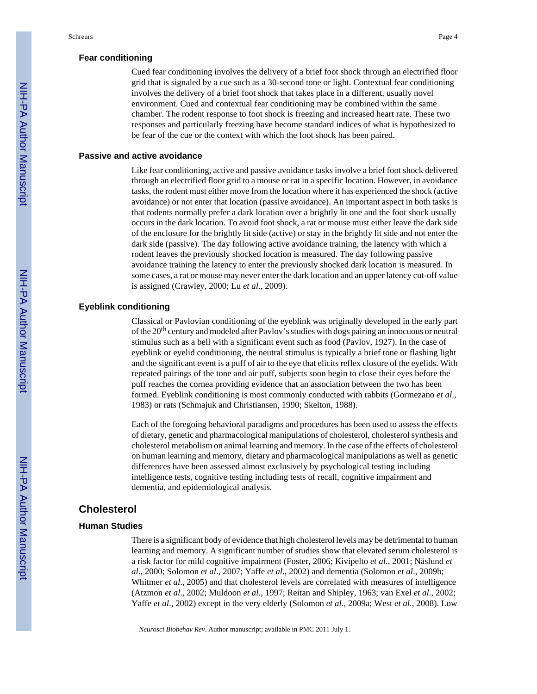#### **Fear conditioning**

Cued fear conditioning involves the delivery of a brief foot shock through an electrified floor grid that is signaled by a cue such as a 30-second tone or light. Contextual fear conditioning involves the delivery of a brief foot shock that takes place in a different, usually novel environment. Cued and contextual fear conditioning may be combined within the same chamber. The rodent response to foot shock is freezing and increased heart rate. These two responses and particularly freezing have become standard indices of what is hypothesized to be fear of the cue or the context with which the foot shock has been paired.

#### **Passive and active avoidance**

Like fear conditioning, active and passive avoidance tasks involve a brief foot shock delivered through an electrified floor grid to a mouse or rat in a specific location. However, in avoidance tasks, the rodent must either move from the location where it has experienced the shock (active avoidance) or not enter that location (passive avoidance). An important aspect in both tasks is that rodents normally prefer a dark location over a brightly lit one and the foot shock usually occurs in the dark location. To avoid foot shock, a rat or mouse must either leave the dark side of the enclosure for the brightly lit side (active) or stay in the brightly lit side and not enter the dark side (passive). The day following active avoidance training, the latency with which a rodent leaves the previously shocked location is measured. The day following passive avoidance training the latency to enter the previously shocked dark location is measured. In some cases, a rat or mouse may never enter the dark location and an upper latency cut-off value is assigned (Crawley, 2000; Lu *et al*., 2009).

#### **Eyeblink conditioning**

Classical or Pavlovian conditioning of the eyeblink was originally developed in the early part of the 20th century and modeled after Pavlov's studies with dogs pairing an innocuous or neutral stimulus such as a bell with a significant event such as food (Pavlov, 1927). In the case of eyeblink or eyelid conditioning, the neutral stimulus is typically a brief tone or flashing light and the significant event is a puff of air to the eye that elicits reflex closure of the eyelids. With repeated pairings of the tone and air puff, subjects soon begin to close their eyes before the puff reaches the cornea providing evidence that an association between the two has been formed. Eyeblink conditioning is most commonly conducted with rabbits (Gormezano *et al*., 1983) or rats (Schmajuk and Christiansen, 1990; Skelton, 1988).

Each of the foregoing behavioral paradigms and procedures has been used to assess the effects of dietary, genetic and pharmacological manipulations of cholesterol, cholesterol synthesis and cholesterol metabolism on animal learning and memory. In the case of the effects of cholesterol on human learning and memory, dietary and pharmacological manipulations as well as genetic differences have been assessed almost exclusively by psychological testing including intelligence tests, cognitive testing including tests of recall, cognitive impairment and dementia, and epidemiological analysis.

## **Cholesterol**

## **Human Studies**

There is a significant body of evidence that high cholesterol levels may be detrimental to human learning and memory. A significant number of studies show that elevated serum cholesterol is a risk factor for mild cognitive impairment (Foster, 2006; Kivipelto *et al*., 2001; Näslund *et al*., 2000; Solomon *et al*., 2007; Yaffe *et al*., 2002) and dementia (Solomon *et al*., 2009b; Whitmer *et al.*, 2005) and that cholesterol levels are correlated with measures of intelligence (Atzmon *et al*., 2002; Muldoon *et al*., 1997; Reitan and Shipley, 1963; van Exel *et al*., 2002; Yaffe *et al*., 2002) except in the very elderly (Solomon *et al*., 2009a; West *et al*., 2008). Low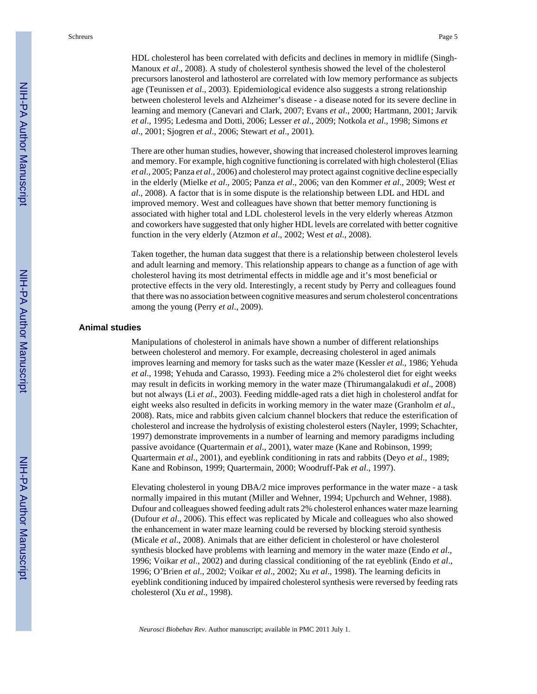HDL cholesterol has been correlated with deficits and declines in memory in midlife (Singh-Manoux *et al*., 2008). A study of cholesterol synthesis showed the level of the cholesterol precursors lanosterol and lathosterol are correlated with low memory performance as subjects age (Teunissen *et al*., 2003). Epidemiological evidence also suggests a strong relationship between cholesterol levels and Alzheimer's disease - a disease noted for its severe decline in learning and memory (Canevari and Clark, 2007; Evans *et al*., 2000; Hartmann, 2001; Jarvik *et al*., 1995; Ledesma and Dotti, 2006; Lesser *et al*., 2009; Notkola *et al*., 1998; Simons *et al*., 2001; Sjogren *et al*., 2006; Stewart *et al*., 2001).

There are other human studies, however, showing that increased cholesterol improves learning and memory. For example, high cognitive functioning is correlated with high cholesterol (Elias *et al*., 2005; Panza *et al*., 2006) and cholesterol may protect against cognitive decline especially in the elderly (Mielke *et al*., 2005; Panza *et al*., 2006; van den Kommer *et al*., 2009; West *et al*., 2008). A factor that is in some dispute is the relationship between LDL and HDL and improved memory. West and colleagues have shown that better memory functioning is associated with higher total and LDL cholesterol levels in the very elderly whereas Atzmon and coworkers have suggested that only higher HDL levels are correlated with better cognitive function in the very elderly (Atzmon *et al*., 2002; West *et al*., 2008).

Taken together, the human data suggest that there is a relationship between cholesterol levels and adult learning and memory. This relationship appears to change as a function of age with cholesterol having its most detrimental effects in middle age and it's most beneficial or protective effects in the very old. Interestingly, a recent study by Perry and colleagues found that there was no association between cognitive measures and serum cholesterol concentrations among the young (Perry *et al*., 2009).

#### **Animal studies**

Manipulations of cholesterol in animals have shown a number of different relationships between cholesterol and memory. For example, decreasing cholesterol in aged animals improves learning and memory for tasks such as the water maze (Kessler *et al*., 1986; Yehuda *et al*., 1998; Yehuda and Carasso, 1993). Feeding mice a 2% cholesterol diet for eight weeks may result in deficits in working memory in the water maze (Thirumangalakudi *et al*., 2008) but not always (Li *et al*., 2003). Feeding middle-aged rats a diet high in cholesterol andfat for eight weeks also resulted in deficits in working memory in the water maze (Granholm *et al*., 2008). Rats, mice and rabbits given calcium channel blockers that reduce the esterification of cholesterol and increase the hydrolysis of existing cholesterol esters (Nayler, 1999; Schachter, 1997) demonstrate improvements in a number of learning and memory paradigms including passive avoidance (Quartermain *et al*., 2001), water maze (Kane and Robinson, 1999; Quartermain *et al*., 2001), and eyeblink conditioning in rats and rabbits (Deyo *et al*., 1989; Kane and Robinson, 1999; Quartermain, 2000; Woodruff-Pak *et al*., 1997).

Elevating cholesterol in young DBA/2 mice improves performance in the water maze - a task normally impaired in this mutant (Miller and Wehner, 1994; Upchurch and Wehner, 1988). Dufour and colleagues showed feeding adult rats 2% cholesterol enhances water maze learning (Dufour *et al*., 2006). This effect was replicated by Micale and colleagues who also showed the enhancement in water maze learning could be reversed by blocking steroid synthesis (Micale *et al*., 2008). Animals that are either deficient in cholesterol or have cholesterol synthesis blocked have problems with learning and memory in the water maze (Endo *et al*., 1996; Voikar *et al*., 2002) and during classical conditioning of the rat eyeblink (Endo *et al*., 1996; O'Brien *et al*., 2002; Voikar *et al*., 2002; Xu *et al*., 1998). The learning deficits in eyeblink conditioning induced by impaired cholesterol synthesis were reversed by feeding rats cholesterol (Xu *et al*., 1998).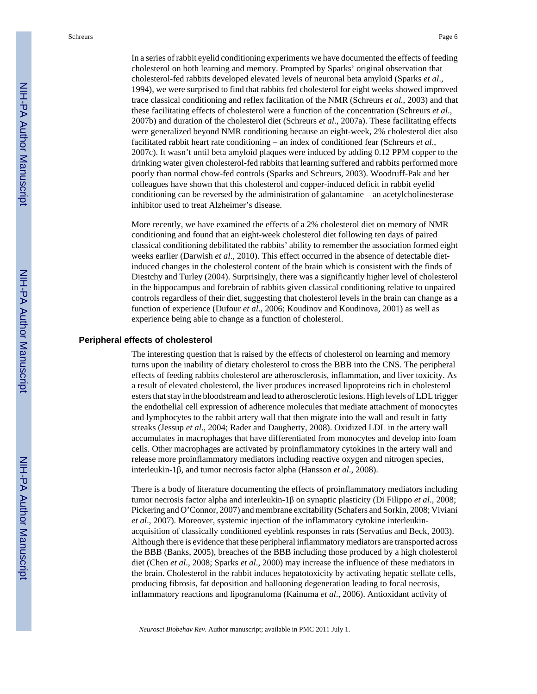In a series of rabbit eyelid conditioning experiments we have documented the effects of feeding cholesterol on both learning and memory. Prompted by Sparks' original observation that cholesterol-fed rabbits developed elevated levels of neuronal beta amyloid (Sparks *et al*., 1994), we were surprised to find that rabbits fed cholesterol for eight weeks showed improved trace classical conditioning and reflex facilitation of the NMR (Schreurs *et al*., 2003) and that these facilitating effects of cholesterol were a function of the concentration (Schreurs *et al*., 2007b) and duration of the cholesterol diet (Schreurs *et al*., 2007a). These facilitating effects were generalized beyond NMR conditioning because an eight-week, 2% cholesterol diet also facilitated rabbit heart rate conditioning – an index of conditioned fear (Schreurs *et al*., 2007c). It wasn't until beta amyloid plaques were induced by adding 0.12 PPM copper to the drinking water given cholesterol-fed rabbits that learning suffered and rabbits performed more poorly than normal chow-fed controls (Sparks and Schreurs, 2003). Woodruff-Pak and her colleagues have shown that this cholesterol and copper-induced deficit in rabbit eyelid conditioning can be reversed by the administration of galantamine – an acetylcholinesterase inhibitor used to treat Alzheimer's disease.

More recently, we have examined the effects of a 2% cholesterol diet on memory of NMR conditioning and found that an eight-week cholesterol diet following ten days of paired classical conditioning debilitated the rabbits' ability to remember the association formed eight weeks earlier (Darwish *et al*., 2010). This effect occurred in the absence of detectable dietinduced changes in the cholesterol content of the brain which is consistent with the finds of Diestchy and Turley (2004). Surprisingly, there was a significantly higher level of cholesterol in the hippocampus and forebrain of rabbits given classical conditioning relative to unpaired controls regardless of their diet, suggesting that cholesterol levels in the brain can change as a function of experience (Dufour *et al*., 2006; Koudinov and Koudinova, 2001) as well as experience being able to change as a function of cholesterol.

#### **Peripheral effects of cholesterol**

The interesting question that is raised by the effects of cholesterol on learning and memory turns upon the inability of dietary cholesterol to cross the BBB into the CNS. The peripheral effects of feeding rabbits cholesterol are atherosclerosis, inflammation, and liver toxicity. As a result of elevated cholesterol, the liver produces increased lipoproteins rich in cholesterol esters that stay in the bloodstream and lead to atherosclerotic lesions. High levels of LDL trigger the endothelial cell expression of adherence molecules that mediate attachment of monocytes and lymphocytes to the rabbit artery wall that then migrate into the wall and result in fatty streaks (Jessup *et al*., 2004; Rader and Daugherty, 2008). Oxidized LDL in the artery wall accumulates in macrophages that have differentiated from monocytes and develop into foam cells. Other macrophages are activated by proinflammatory cytokines in the artery wall and release more proinflammatory mediators including reactive oxygen and nitrogen species, interleukin-1β, and tumor necrosis factor alpha (Hansson *et al*., 2008).

There is a body of literature documenting the effects of proinflammatory mediators including tumor necrosis factor alpha and interleukin-1β on synaptic plasticity (Di Filippo *et al*., 2008; Pickering and O'Connor, 2007) and membrane excitability (Schafers and Sorkin, 2008; Viviani *et al*., 2007). Moreover, systemic injection of the inflammatory cytokine interleukinacquisition of classically conditioned eyeblink responses in rats (Servatius and Beck, 2003). Although there is evidence that these peripheral inflammatory mediators are transported across the BBB (Banks, 2005), breaches of the BBB including those produced by a high cholesterol diet (Chen *et al*., 2008; Sparks *et al*., 2000) may increase the influence of these mediators in the brain. Cholesterol in the rabbit induces hepatotoxicity by activating hepatic stellate cells, producing fibrosis, fat deposition and ballooning degeneration leading to focal necrosis, inflammatory reactions and lipogranuloma (Kainuma *et al*., 2006). Antioxidant activity of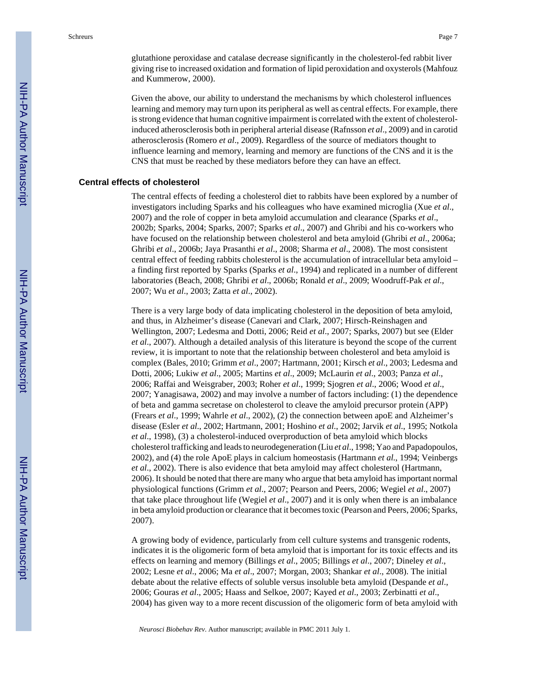glutathione peroxidase and catalase decrease significantly in the cholesterol-fed rabbit liver giving rise to increased oxidation and formation of lipid peroxidation and oxysterols (Mahfouz and Kummerow, 2000).

Given the above, our ability to understand the mechanisms by which cholesterol influences learning and memory may turn upon its peripheral as well as central effects. For example, there is strong evidence that human cognitive impairment is correlated with the extent of cholesterolinduced atherosclerosis both in peripheral arterial disease (Rafnsson *et al*., 2009) and in carotid atherosclerosis (Romero *et al*., 2009). Regardless of the source of mediators thought to influence learning and memory, learning and memory are functions of the CNS and it is the CNS that must be reached by these mediators before they can have an effect.

#### **Central effects of cholesterol**

The central effects of feeding a cholesterol diet to rabbits have been explored by a number of investigators including Sparks and his colleagues who have examined microglia (Xue *et al*., 2007) and the role of copper in beta amyloid accumulation and clearance (Sparks *et al*., 2002b; Sparks, 2004; Sparks, 2007; Sparks *et al*., 2007) and Ghribi and his co-workers who have focused on the relationship between cholesterol and beta amyloid (Ghribi *et al*., 2006a; Ghribi *et al*., 2006b; Jaya Prasanthi *et al*., 2008; Sharma *et al*., 2008). The most consistent central effect of feeding rabbits cholesterol is the accumulation of intracellular beta amyloid – a finding first reported by Sparks (Sparks *et al*., 1994) and replicated in a number of different laboratories (Beach, 2008; Ghribi *et al*., 2006b; Ronald *et al*., 2009; Woodruff-Pak *et al*., 2007; Wu *et al*., 2003; Zatta *et al*., 2002).

There is a very large body of data implicating cholesterol in the deposition of beta amyloid, and thus, in Alzheimer's disease (Canevari and Clark, 2007; Hirsch-Reinshagen and Wellington, 2007; Ledesma and Dotti, 2006; Reid *et al*., 2007; Sparks, 2007) but see (Elder *et al*., 2007). Although a detailed analysis of this literature is beyond the scope of the current review, it is important to note that the relationship between cholesterol and beta amyloid is complex (Bales, 2010; Grimm *et al*., 2007; Hartmann, 2001; Kirsch *et al*., 2003; Ledesma and Dotti, 2006; Lukiw *et al*., 2005; Martins *et al*., 2009; McLaurin *et al*., 2003; Panza *et al*., 2006; Raffai and Weisgraber, 2003; Roher *et al*., 1999; Sjogren *et al*., 2006; Wood *et al*., 2007; Yanagisawa, 2002) and may involve a number of factors including: (1) the dependence of beta and gamma secretase on cholesterol to cleave the amyloid precursor protein (APP) (Frears *et al*., 1999; Wahrle *et al*., 2002), (2) the connection between apoE and Alzheimer's disease (Esler *et al*., 2002; Hartmann, 2001; Hoshino *et al*., 2002; Jarvik *et al*., 1995; Notkola *et al*., 1998), (3) a cholesterol-induced overproduction of beta amyloid which blocks cholesterol trafficking and leads to neurodegeneration (Liu *et al*., 1998; Yao and Papadopoulos, 2002), and (4) the role ApoE plays in calcium homeostasis (Hartmann *et al*., 1994; Veinbergs *et al*., 2002). There is also evidence that beta amyloid may affect cholesterol (Hartmann, 2006). It should be noted that there are many who argue that beta amyloid has important normal physiological functions (Grimm *et al*., 2007; Pearson and Peers, 2006; Wegiel *et al*., 2007) that take place throughout life (Wegiel *et al*., 2007) and it is only when there is an imbalance in beta amyloid production or clearance that it becomes toxic (Pearson and Peers, 2006; Sparks, 2007).

A growing body of evidence, particularly from cell culture systems and transgenic rodents, indicates it is the oligomeric form of beta amyloid that is important for its toxic effects and its effects on learning and memory (Billings *et al*., 2005; Billings *et al*., 2007; Dineley *et al*., 2002; Lesne *et al*., 2006; Ma *et al*., 2007; Morgan, 2003; Shankar *et al*., 2008). The initial debate about the relative effects of soluble versus insoluble beta amyloid (Despande *et al*., 2006; Gouras *et al*., 2005; Haass and Selkoe, 2007; Kayed *et al*., 2003; Zerbinatti *et al*., 2004) has given way to a more recent discussion of the oligomeric form of beta amyloid with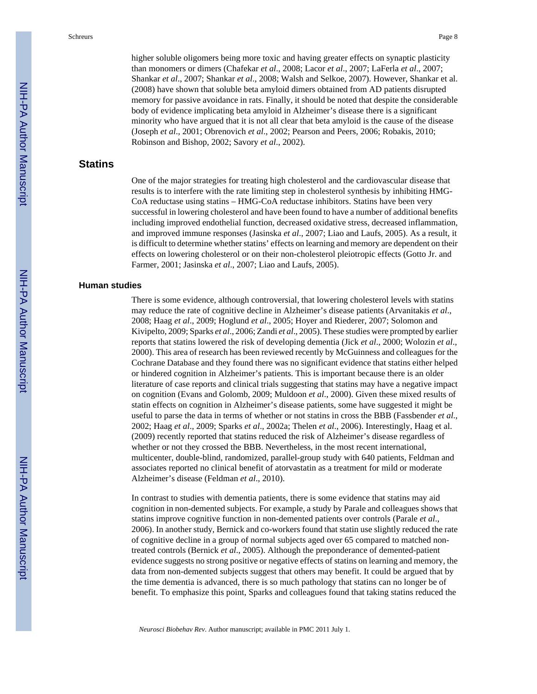higher soluble oligomers being more toxic and having greater effects on synaptic plasticity than monomers or dimers (Chafekar *et al*., 2008; Lacor *et al*., 2007; LaFerla *et al*., 2007; Shankar *et al*., 2007; Shankar *et al*., 2008; Walsh and Selkoe, 2007). However, Shankar et al. (2008) have shown that soluble beta amyloid dimers obtained from AD patients disrupted memory for passive avoidance in rats. Finally, it should be noted that despite the considerable body of evidence implicating beta amyloid in Alzheimer's disease there is a significant minority who have argued that it is not all clear that beta amyloid is the cause of the disease (Joseph *et al*., 2001; Obrenovich *et al*., 2002; Pearson and Peers, 2006; Robakis, 2010; Robinson and Bishop, 2002; Savory *et al*., 2002).

## **Statins**

One of the major strategies for treating high cholesterol and the cardiovascular disease that results is to interfere with the rate limiting step in cholesterol synthesis by inhibiting HMG-CoA reductase using statins – HMG-CoA reductase inhibitors. Statins have been very successful in lowering cholesterol and have been found to have a number of additional benefits including improved endothelial function, decreased oxidative stress, decreased inflammation, and improved immune responses (Jasinska *et al*., 2007; Liao and Laufs, 2005). As a result, it is difficult to determine whether statins' effects on learning and memory are dependent on their effects on lowering cholesterol or on their non-cholesterol pleiotropic effects (Gotto Jr. and Farmer, 2001; Jasinska *et al*., 2007; Liao and Laufs, 2005).

## **Human studies**

There is some evidence, although controversial, that lowering cholesterol levels with statins may reduce the rate of cognitive decline in Alzheimer's disease patients (Arvanitakis *et al*., 2008; Haag *et al*., 2009; Hoglund *et al*., 2005; Hoyer and Riederer, 2007; Solomon and Kivipelto, 2009; Sparks *et al*., 2006; Zandi *et al*., 2005). These studies were prompted by earlier reports that statins lowered the risk of developing dementia (Jick *et al*., 2000; Wolozin *et al*., 2000). This area of research has been reviewed recently by McGuinness and colleagues for the Cochrane Database and they found there was no significant evidence that statins either helped or hindered cognition in Alzheimer's patients. This is important because there is an older literature of case reports and clinical trials suggesting that statins may have a negative impact on cognition (Evans and Golomb, 2009; Muldoon *et al*., 2000). Given these mixed results of statin effects on cognition in Alzheimer's disease patients, some have suggested it might be useful to parse the data in terms of whether or not statins in cross the BBB (Fassbender *et al*., 2002; Haag *et al*., 2009; Sparks *et al*., 2002a; Thelen *et al*., 2006). Interestingly, Haag et al. (2009) recently reported that statins reduced the risk of Alzheimer's disease regardless of whether or not they crossed the BBB. Nevertheless, in the most recent international, multicenter, double-blind, randomized, parallel-group study with 640 patients, Feldman and associates reported no clinical benefit of atorvastatin as a treatment for mild or moderate Alzheimer's disease (Feldman *et al*., 2010).

In contrast to studies with dementia patients, there is some evidence that statins may aid cognition in non-demented subjects. For example, a study by Parale and colleagues shows that statins improve cognitive function in non-demented patients over controls (Parale *et al*., 2006). In another study, Bernick and co-workers found that statin use slightly reduced the rate of cognitive decline in a group of normal subjects aged over 65 compared to matched nontreated controls (Bernick *et al*., 2005). Although the preponderance of demented-patient evidence suggests no strong positive or negative effects of statins on learning and memory, the data from non-demented subjects suggest that others may benefit. It could be argued that by the time dementia is advanced, there is so much pathology that statins can no longer be of benefit. To emphasize this point, Sparks and colleagues found that taking statins reduced the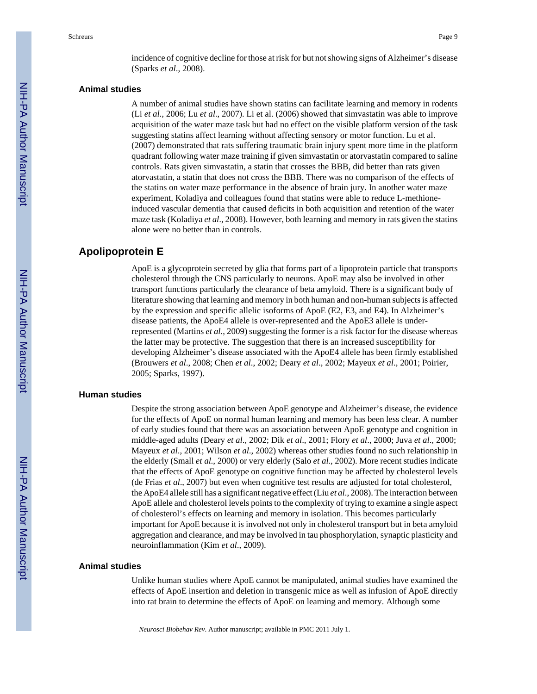incidence of cognitive decline for those at risk for but not showing signs of Alzheimer's disease (Sparks *et al*., 2008).

#### **Animal studies**

A number of animal studies have shown statins can facilitate learning and memory in rodents (Li *et al*., 2006; Lu *et al*., 2007). Li et al. (2006) showed that simvastatin was able to improve acquisition of the water maze task but had no effect on the visible platform version of the task suggesting statins affect learning without affecting sensory or motor function. Lu et al. (2007) demonstrated that rats suffering traumatic brain injury spent more time in the platform quadrant following water maze training if given simvastatin or atorvastatin compared to saline controls. Rats given simvastatin, a statin that crosses the BBB, did better than rats given atorvastatin, a statin that does not cross the BBB. There was no comparison of the effects of the statins on water maze performance in the absence of brain jury. In another water maze experiment, Koladiya and colleagues found that statins were able to reduce L-methioneinduced vascular dementia that caused deficits in both acquisition and retention of the water maze task (Koladiya *et al*., 2008). However, both learning and memory in rats given the statins alone were no better than in controls.

## **Apolipoprotein E**

ApoE is a glycoprotein secreted by glia that forms part of a lipoprotein particle that transports cholesterol through the CNS particularly to neurons. ApoE may also be involved in other transport functions particularly the clearance of beta amyloid. There is a significant body of literature showing that learning and memory in both human and non-human subjects is affected by the expression and specific allelic isoforms of ApoE (E2, E3, and E4). In Alzheimer's disease patients, the ApoE4 allele is over-represented and the ApoE3 allele is underrepresented (Martins *et al*., 2009) suggesting the former is a risk factor for the disease whereas the latter may be protective. The suggestion that there is an increased susceptibility for developing Alzheimer's disease associated with the ApoE4 allele has been firmly established (Brouwers *et al*., 2008; Chen *et al*., 2002; Deary *et al*., 2002; Mayeux *et al*., 2001; Poirier, 2005; Sparks, 1997).

## **Human studies**

Despite the strong association between ApoE genotype and Alzheimer's disease, the evidence for the effects of ApoE on normal human learning and memory has been less clear. A number of early studies found that there was an association between ApoE genotype and cognition in middle-aged adults (Deary *et al*., 2002; Dik *et al*., 2001; Flory *et al*., 2000; Juva *et al*., 2000; Mayeux *et al*., 2001; Wilson *et al*., 2002) whereas other studies found no such relationship in the elderly (Small *et al*., 2000) or very elderly (Salo *et al*., 2002). More recent studies indicate that the effects of ApoE genotype on cognitive function may be affected by cholesterol levels (de Frias *et al*., 2007) but even when cognitive test results are adjusted for total cholesterol, the ApoE4 allele still has a significant negative effect (Liu *et al*., 2008). The interaction between ApoE allele and cholesterol levels points to the complexity of trying to examine a single aspect of cholesterol's effects on learning and memory in isolation. This becomes particularly important for ApoE because it is involved not only in cholesterol transport but in beta amyloid aggregation and clearance, and may be involved in tau phosphorylation, synaptic plasticity and neuroinflammation (Kim *et al*., 2009).

#### **Animal studies**

Unlike human studies where ApoE cannot be manipulated, animal studies have examined the effects of ApoE insertion and deletion in transgenic mice as well as infusion of ApoE directly into rat brain to determine the effects of ApoE on learning and memory. Although some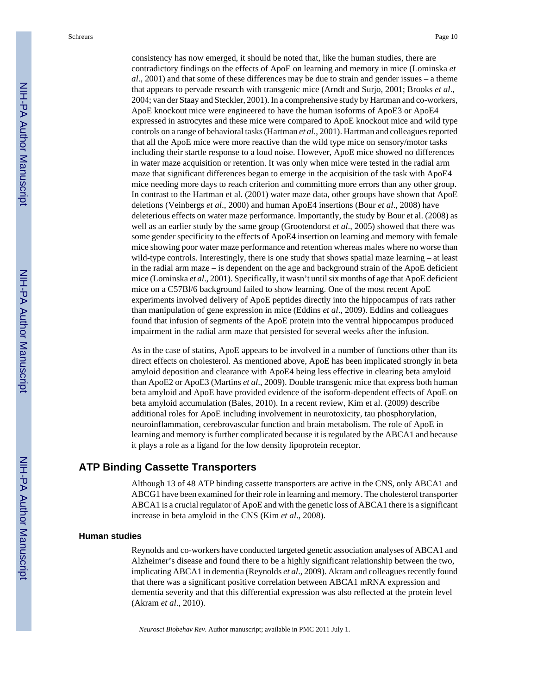consistency has now emerged, it should be noted that, like the human studies, there are contradictory findings on the effects of ApoE on learning and memory in mice (Lominska *et al*., 2001) and that some of these differences may be due to strain and gender issues – a theme that appears to pervade research with transgenic mice (Arndt and Surjo, 2001; Brooks *et al*., 2004; van der Staay and Steckler, 2001). In a comprehensive study by Hartman and co-workers, ApoE knockout mice were engineered to have the human isoforms of ApoE3 or ApoE4 expressed in astrocytes and these mice were compared to ApoE knockout mice and wild type controls on a range of behavioral tasks (Hartman *et al*., 2001). Hartman and colleagues reported that all the ApoE mice were more reactive than the wild type mice on sensory/motor tasks including their startle response to a loud noise. However, ApoE mice showed no differences in water maze acquisition or retention. It was only when mice were tested in the radial arm maze that significant differences began to emerge in the acquisition of the task with ApoE4 mice needing more days to reach criterion and committing more errors than any other group. In contrast to the Hartman et al. (2001) water maze data, other groups have shown that ApoE deletions (Veinbergs *et al*., 2000) and human ApoE4 insertions (Bour *et al*., 2008) have deleterious effects on water maze performance. Importantly, the study by Bour et al. (2008) as well as an earlier study by the same group (Grootendorst *et al*., 2005) showed that there was some gender specificity to the effects of ApoE4 insertion on learning and memory with female mice showing poor water maze performance and retention whereas males where no worse than wild-type controls. Interestingly, there is one study that shows spatial maze learning – at least in the radial arm maze  $-$  is dependent on the age and background strain of the ApoE deficient mice (Lominska *et al*., 2001). Specifically, it wasn't until six months of age that ApoE deficient mice on a C57Bl/6 background failed to show learning. One of the most recent ApoE experiments involved delivery of ApoE peptides directly into the hippocampus of rats rather than manipulation of gene expression in mice (Eddins *et al*., 2009). Eddins and colleagues found that infusion of segments of the ApoE protein into the ventral hippocampus produced impairment in the radial arm maze that persisted for several weeks after the infusion.

As in the case of statins, ApoE appears to be involved in a number of functions other than its direct effects on cholesterol. As mentioned above, ApoE has been implicated strongly in beta amyloid deposition and clearance with ApoE4 being less effective in clearing beta amyloid than ApoE2 or ApoE3 (Martins *et al*., 2009). Double transgenic mice that express both human beta amyloid and ApoE have provided evidence of the isoform-dependent effects of ApoE on beta amyloid accumulation (Bales, 2010). In a recent review, Kim et al. (2009) describe additional roles for ApoE including involvement in neurotoxicity, tau phosphorylation, neuroinflammation, cerebrovascular function and brain metabolism. The role of ApoE in learning and memory is further complicated because it is regulated by the ABCA1 and because it plays a role as a ligand for the low density lipoprotein receptor.

## **ATP Binding Cassette Transporters**

Although 13 of 48 ATP binding cassette transporters are active in the CNS, only ABCA1 and ABCG1 have been examined for their role in learning and memory. The cholesterol transporter ABCA1 is a crucial regulator of ApoE and with the genetic loss of ABCA1 there is a significant increase in beta amyloid in the CNS (Kim *et al*., 2008).

#### **Human studies**

Reynolds and co-workers have conducted targeted genetic association analyses of ABCA1 and Alzheimer's disease and found there to be a highly significant relationship between the two, implicating ABCA1 in dementia (Reynolds *et al*., 2009). Akram and colleagues recently found that there was a significant positive correlation between ABCA1 mRNA expression and dementia severity and that this differential expression was also reflected at the protein level (Akram *et al*., 2010).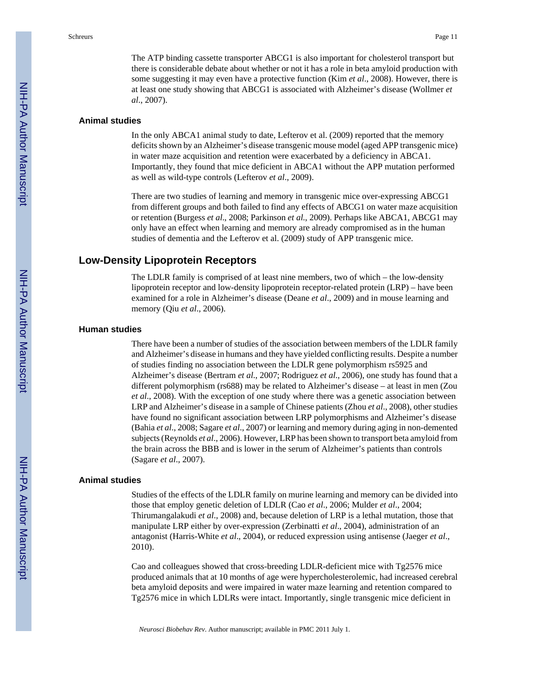The ATP binding cassette transporter ABCG1 is also important for cholesterol transport but there is considerable debate about whether or not it has a role in beta amyloid production with some suggesting it may even have a protective function (Kim *et al*., 2008). However, there is at least one study showing that ABCG1 is associated with Alzheimer's disease (Wollmer *et al*., 2007).

#### **Animal studies**

In the only ABCA1 animal study to date, Lefterov et al. (2009) reported that the memory deficits shown by an Alzheimer's disease transgenic mouse model (aged APP transgenic mice) in water maze acquisition and retention were exacerbated by a deficiency in ABCA1. Importantly, they found that mice deficient in ABCA1 without the APP mutation performed as well as wild-type controls (Lefterov *et al*., 2009).

There are two studies of learning and memory in transgenic mice over-expressing ABCG1 from different groups and both failed to find any effects of ABCG1 on water maze acquisition or retention (Burgess *et al*., 2008; Parkinson *et al*., 2009). Perhaps like ABCA1, ABCG1 may only have an effect when learning and memory are already compromised as in the human studies of dementia and the Lefterov et al. (2009) study of APP transgenic mice.

## **Low-Density Lipoprotein Receptors**

The LDLR family is comprised of at least nine members, two of which – the low-density lipoprotein receptor and low-density lipoprotein receptor-related protein (LRP) – have been examined for a role in Alzheimer's disease (Deane *et al*., 2009) and in mouse learning and memory (Qiu *et al*., 2006).

#### **Human studies**

There have been a number of studies of the association between members of the LDLR family and Alzheimer's disease in humans and they have yielded conflicting results. Despite a number of studies finding no association between the LDLR gene polymorphism rs5925 and Alzheimer's disease (Bertram *et al*., 2007; Rodriguez *et al*., 2006), one study has found that a different polymorphism (rs688) may be related to Alzheimer's disease – at least in men (Zou *et al*., 2008). With the exception of one study where there was a genetic association between LRP and Alzheimer's disease in a sample of Chinese patients (Zhou *et al*., 2008), other studies have found no significant association between LRP polymorphisms and Alzheimer's disease (Bahia *et al*., 2008; Sagare *et al*., 2007) or learning and memory during aging in non-demented subjects (Reynolds *et al*., 2006). However, LRP has been shown to transport beta amyloid from the brain across the BBB and is lower in the serum of Alzheimer's patients than controls (Sagare *et al*., 2007).

#### **Animal studies**

Studies of the effects of the LDLR family on murine learning and memory can be divided into those that employ genetic deletion of LDLR (Cao *et al*., 2006; Mulder *et al*., 2004; Thirumangalakudi *et al*., 2008) and, because deletion of LRP is a lethal mutation, those that manipulate LRP either by over-expression (Zerbinatti *et al*., 2004), administration of an antagonist (Harris-White *et al*., 2004), or reduced expression using antisense (Jaeger *et al*., 2010).

Cao and colleagues showed that cross-breeding LDLR-deficient mice with Tg2576 mice produced animals that at 10 months of age were hypercholesterolemic, had increased cerebral beta amyloid deposits and were impaired in water maze learning and retention compared to Tg2576 mice in which LDLRs were intact. Importantly, single transgenic mice deficient in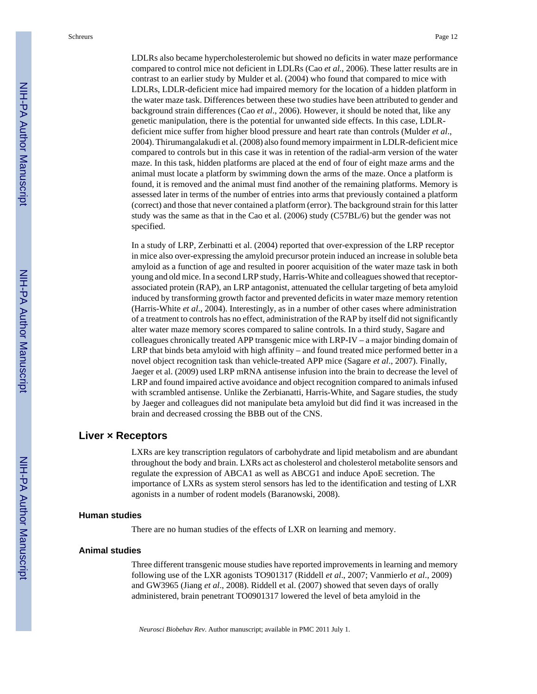LDLRs also became hypercholesterolemic but showed no deficits in water maze performance compared to control mice not deficient in LDLRs (Cao *et al*., 2006). These latter results are in contrast to an earlier study by Mulder et al. (2004) who found that compared to mice with LDLRs, LDLR-deficient mice had impaired memory for the location of a hidden platform in the water maze task. Differences between these two studies have been attributed to gender and background strain differences (Cao *et al*., 2006). However, it should be noted that, like any genetic manipulation, there is the potential for unwanted side effects. In this case, LDLRdeficient mice suffer from higher blood pressure and heart rate than controls (Mulder *et al*., 2004). Thirumangalakudi et al. (2008) also found memory impairment in LDLR-deficient mice compared to controls but in this case it was in retention of the radial-arm version of the water maze. In this task, hidden platforms are placed at the end of four of eight maze arms and the animal must locate a platform by swimming down the arms of the maze. Once a platform is found, it is removed and the animal must find another of the remaining platforms. Memory is assessed later in terms of the number of entries into arms that previously contained a platform (correct) and those that never contained a platform (error). The background strain for this latter study was the same as that in the Cao et al. (2006) study (C57BL/6) but the gender was not specified.

In a study of LRP, Zerbinatti et al. (2004) reported that over-expression of the LRP receptor in mice also over-expressing the amyloid precursor protein induced an increase in soluble beta amyloid as a function of age and resulted in poorer acquisition of the water maze task in both young and old mice. In a second LRP study, Harris-White and colleagues showed that receptorassociated protein (RAP), an LRP antagonist, attenuated the cellular targeting of beta amyloid induced by transforming growth factor and prevented deficits in water maze memory retention (Harris-White *et al*., 2004). Interestingly, as in a number of other cases where administration of a treatment to controls has no effect, administration of the RAP by itself did not significantly alter water maze memory scores compared to saline controls. In a third study, Sagare and colleagues chronically treated APP transgenic mice with LRP-IV – a major binding domain of LRP that binds beta amyloid with high affinity – and found treated mice performed better in a novel object recognition task than vehicle-treated APP mice (Sagare *et al*., 2007). Finally, Jaeger et al. (2009) used LRP mRNA antisense infusion into the brain to decrease the level of LRP and found impaired active avoidance and object recognition compared to animals infused with scrambled antisense. Unlike the Zerbianatti, Harris-White, and Sagare studies, the study by Jaeger and colleagues did not manipulate beta amyloid but did find it was increased in the brain and decreased crossing the BBB out of the CNS.

## **Liver × Receptors**

LXRs are key transcription regulators of carbohydrate and lipid metabolism and are abundant throughout the body and brain. LXRs act as cholesterol and cholesterol metabolite sensors and regulate the expression of ABCA1 as well as ABCG1 and induce ApoE secretion. The importance of LXRs as system sterol sensors has led to the identification and testing of LXR agonists in a number of rodent models (Baranowski, 2008).

#### **Human studies**

There are no human studies of the effects of LXR on learning and memory.

#### **Animal studies**

Three different transgenic mouse studies have reported improvements in learning and memory following use of the LXR agonists TO901317 (Riddell *et al*., 2007; Vanmierlo *et al*., 2009) and GW3965 (Jiang *et al*., 2008). Riddell et al. (2007) showed that seven days of orally administered, brain penetrant TO0901317 lowered the level of beta amyloid in the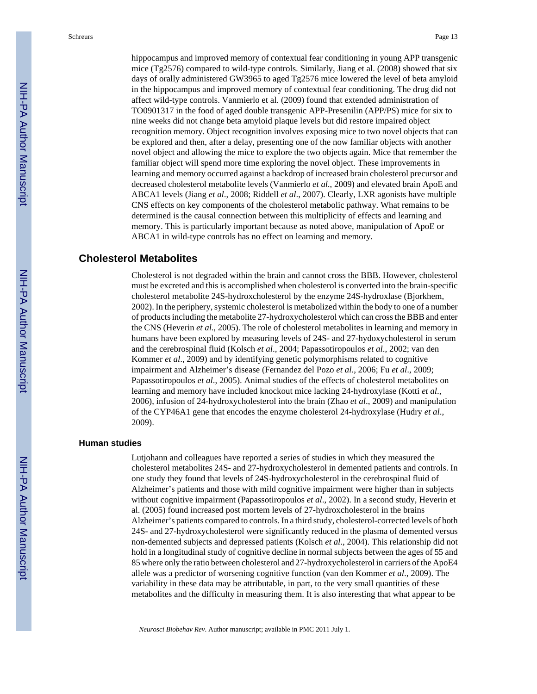hippocampus and improved memory of contextual fear conditioning in young APP transgenic mice (Tg2576) compared to wild-type controls. Similarly, Jiang et al. (2008) showed that six days of orally administered GW3965 to aged Tg2576 mice lowered the level of beta amyloid in the hippocampus and improved memory of contextual fear conditioning. The drug did not affect wild-type controls. Vanmierlo et al. (2009) found that extended administration of TO0901317 in the food of aged double transgenic APP-Presenilin (APP/PS) mice for six to nine weeks did not change beta amyloid plaque levels but did restore impaired object recognition memory. Object recognition involves exposing mice to two novel objects that can be explored and then, after a delay, presenting one of the now familiar objects with another novel object and allowing the mice to explore the two objects again. Mice that remember the familiar object will spend more time exploring the novel object. These improvements in learning and memory occurred against a backdrop of increased brain cholesterol precursor and decreased cholesterol metabolite levels (Vanmierlo *et al*., 2009) and elevated brain ApoE and ABCA1 levels (Jiang *et al*., 2008; Riddell *et al*., 2007). Clearly, LXR agonists have multiple CNS effects on key components of the cholesterol metabolic pathway. What remains to be determined is the causal connection between this multiplicity of effects and learning and memory. This is particularly important because as noted above, manipulation of ApoE or ABCA1 in wild-type controls has no effect on learning and memory.

## **Cholesterol Metabolites**

Cholesterol is not degraded within the brain and cannot cross the BBB. However, cholesterol must be excreted and this is accomplished when cholesterol is converted into the brain-specific cholesterol metabolite 24S-hydroxcholesterol by the enzyme 24S-hydroxlase (Bjorkhem, 2002). In the periphery, systemic cholesterol is metabolized within the body to one of a number of products including the metabolite 27-hydroxycholesterol which can cross the BBB and enter the CNS (Heverin *et al*., 2005). The role of cholesterol metabolites in learning and memory in humans have been explored by measuring levels of 24S- and 27-hydoxycholesterol in serum and the cerebrospinal fluid (Kolsch *et al*., 2004; Papassotiropoulos *et al*., 2002; van den Kommer *et al*., 2009) and by identifying genetic polymorphisms related to cognitive impairment and Alzheimer's disease (Fernandez del Pozo *et al*., 2006; Fu *et al*., 2009; Papassotiropoulos *et al*., 2005). Animal studies of the effects of cholesterol metabolites on learning and memory have included knockout mice lacking 24-hydroxylase (Kotti *et al*., 2006), infusion of 24-hydroxycholesterol into the brain (Zhao *et al*., 2009) and manipulation of the CYP46A1 gene that encodes the enzyme cholesterol 24-hydroxylase (Hudry *et al*., 2009).

#### **Human studies**

Lutjohann and colleagues have reported a series of studies in which they measured the cholesterol metabolites 24S- and 27-hydroxycholesterol in demented patients and controls. In one study they found that levels of 24S-hydroxycholesterol in the cerebrospinal fluid of Alzheimer's patients and those with mild cognitive impairment were higher than in subjects without cognitive impairment (Papassotiropoulos *et al*., 2002). In a second study, Heverin et al. (2005) found increased post mortem levels of 27-hydroxcholesterol in the brains Alzheimer's patients compared to controls. In a third study, cholesterol-corrected levels of both 24S- and 27-hydroxycholesterol were significantly reduced in the plasma of demented versus non-demented subjects and depressed patients (Kolsch *et al*., 2004). This relationship did not hold in a longitudinal study of cognitive decline in normal subjects between the ages of 55 and 85 where only the ratio between cholesterol and 27-hydroxycholesterol in carriers of the ApoE4 allele was a predictor of worsening cognitive function (van den Kommer *et al*., 2009). The variability in these data may be attributable, in part, to the very small quantities of these metabolites and the difficulty in measuring them. It is also interesting that what appear to be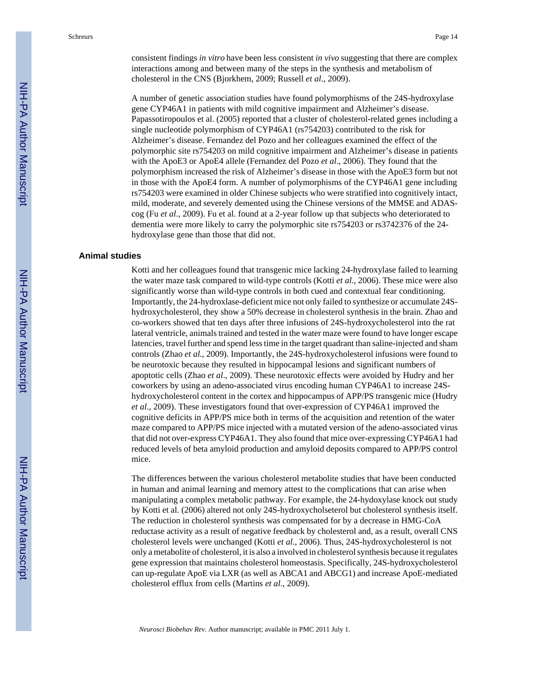consistent findings *in vitro* have been less consistent *in vivo* suggesting that there are complex interactions among and between many of the steps in the synthesis and metabolism of cholesterol in the CNS (Bjorkhem, 2009; Russell *et al*., 2009).

A number of genetic association studies have found polymorphisms of the 24S-hydroxylase gene CYP46A1 in patients with mild cognitive impairment and Alzheimer's disease. Papassotiropoulos et al. (2005) reported that a cluster of cholesterol-related genes including a single nucleotide polymorphism of CYP46A1 (rs754203) contributed to the risk for Alzheimer's disease. Fernandez del Pozo and her colleagues examined the effect of the polymorphic site rs754203 on mild cognitive impairment and Alzheimer's disease in patients with the ApoE3 or ApoE4 allele (Fernandez del Pozo *et al*., 2006). They found that the polymorphism increased the risk of Alzheimer's disease in those with the ApoE3 form but not in those with the ApoE4 form. A number of polymorphisms of the CYP46A1 gene including rs754203 were examined in older Chinese subjects who were stratified into cognitively intact, mild, moderate, and severely demented using the Chinese versions of the MMSE and ADAScog (Fu *et al*., 2009). Fu et al. found at a 2-year follow up that subjects who deteriorated to dementia were more likely to carry the polymorphic site rs754203 or rs3742376 of the 24 hydroxylase gene than those that did not.

#### **Animal studies**

Kotti and her colleagues found that transgenic mice lacking 24-hydroxylase failed to learning the water maze task compared to wild-type controls (Kotti *et al*., 2006). These mice were also significantly worse than wild-type controls in both cued and contextual fear conditioning. Importantly, the 24-hydroxlase-deficient mice not only failed to synthesize or accumulate 24Shydroxycholesterol, they show a 50% decrease in cholesterol synthesis in the brain. Zhao and co-workers showed that ten days after three infusions of 24S-hydroxycholesterol into the rat lateral ventricle, animals trained and tested in the water maze were found to have longer escape latencies, travel further and spend less time in the target quadrant than saline-injected and sham controls (Zhao *et al*., 2009). Importantly, the 24S-hydroxycholesterol infusions were found to be neurotoxic because they resulted in hippocampal lesions and significant numbers of apoptotic cells (Zhao *et al*., 2009). These neurotoxic effects were avoided by Hudry and her coworkers by using an adeno-associated virus encoding human CYP46A1 to increase 24Shydroxycholesterol content in the cortex and hippocampus of APP/PS transgenic mice (Hudry *et al*., 2009). These investigators found that over-expression of CYP46A1 improved the cognitive deficits in APP/PS mice both in terms of the acquisition and retention of the water maze compared to APP/PS mice injected with a mutated version of the adeno-associated virus that did not over-express CYP46A1. They also found that mice over-expressing CYP46A1 had reduced levels of beta amyloid production and amyloid deposits compared to APP/PS control mice.

The differences between the various cholesterol metabolite studies that have been conducted in human and animal learning and memory attest to the complications that can arise when manipulating a complex metabolic pathway. For example, the 24-hydoxylase knock out study by Kotti et al. (2006) altered not only 24S-hydroxycholseterol but cholesterol synthesis itself. The reduction in cholesterol synthesis was compensated for by a decrease in HMG-CoA reductase activity as a result of negative feedback by cholesterol and, as a result, overall CNS cholesterol levels were unchanged (Kotti *et al*., 2006). Thus, 24S-hydroxycholesterol is not only a metabolite of cholesterol, it is also a involved in cholesterol synthesis because it regulates gene expression that maintains cholesterol homeostasis. Specifically, 24S-hydroxycholesterol can up-regulate ApoE via LXR (as well as ABCA1 and ABCG1) and increase ApoE-mediated cholesterol efflux from cells (Martins *et al*., 2009).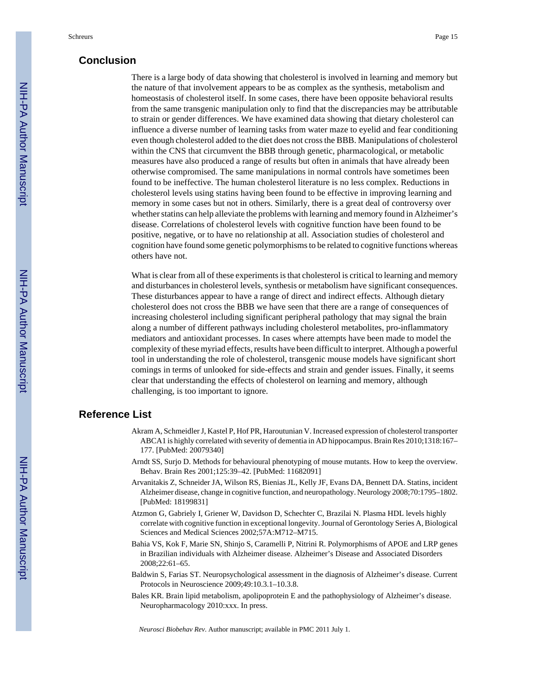## **Conclusion**

There is a large body of data showing that cholesterol is involved in learning and memory but the nature of that involvement appears to be as complex as the synthesis, metabolism and homeostasis of cholesterol itself. In some cases, there have been opposite behavioral results from the same transgenic manipulation only to find that the discrepancies may be attributable to strain or gender differences. We have examined data showing that dietary cholesterol can influence a diverse number of learning tasks from water maze to eyelid and fear conditioning even though cholesterol added to the diet does not cross the BBB. Manipulations of cholesterol within the CNS that circumvent the BBB through genetic, pharmacological, or metabolic measures have also produced a range of results but often in animals that have already been otherwise compromised. The same manipulations in normal controls have sometimes been found to be ineffective. The human cholesterol literature is no less complex. Reductions in cholesterol levels using statins having been found to be effective in improving learning and memory in some cases but not in others. Similarly, there is a great deal of controversy over whether statins can help alleviate the problems with learning and memory found in Alzheimer's disease. Correlations of cholesterol levels with cognitive function have been found to be positive, negative, or to have no relationship at all. Association studies of cholesterol and cognition have found some genetic polymorphisms to be related to cognitive functions whereas others have not.

What is clear from all of these experiments is that cholesterol is critical to learning and memory and disturbances in cholesterol levels, synthesis or metabolism have significant consequences. These disturbances appear to have a range of direct and indirect effects. Although dietary cholesterol does not cross the BBB we have seen that there are a range of consequences of increasing cholesterol including significant peripheral pathology that may signal the brain along a number of different pathways including cholesterol metabolites, pro-inflammatory mediators and antioxidant processes. In cases where attempts have been made to model the complexity of these myriad effects, results have been difficult to interpret. Although a powerful tool in understanding the role of cholesterol, transgenic mouse models have significant short comings in terms of unlooked for side-effects and strain and gender issues. Finally, it seems clear that understanding the effects of cholesterol on learning and memory, although challenging, is too important to ignore.

## **Reference List**

- Akram A, Schmeidler J, Kastel P, Hof PR, Haroutunian V. Increased expression of cholesterol transporter ABCA1 is highly correlated with severity of dementia in AD hippocampus. Brain Res 2010;1318:167– 177. [PubMed: 20079340]
- Arndt SS, Surjo D. Methods for behavioural phenotyping of mouse mutants. How to keep the overview. Behav. Brain Res 2001;125:39–42. [PubMed: 11682091]
- Arvanitakis Z, Schneider JA, Wilson RS, Bienias JL, Kelly JF, Evans DA, Bennett DA. Statins, incident Alzheimer disease, change in cognitive function, and neuropathology. Neurology 2008;70:1795–1802. [PubMed: 18199831]
- Atzmon G, Gabriely I, Griener W, Davidson D, Schechter C, Brazilai N. Plasma HDL levels highly correlate with cognitive function in exceptional longevity. Journal of Gerontology Series A, Biological Sciences and Medical Sciences 2002;57A:M712–M715.
- Bahia VS, Kok F, Marie SN, Shinjo S, Caramelli P, Nitrini R. Polymorphisms of APOE and LRP genes in Brazilian individuals with Alzheimer disease. Alzheimer's Disease and Associated Disorders 2008;22:61–65.
- Baldwin S, Farias ST. Neuropsychological assessment in the diagnosis of Alzheimer's disease. Current Protocols in Neuroscience 2009;49:10.3.1–10.3.8.
- Bales KR. Brain lipid metabolism, apolipoprotein E and the pathophysiology of Alzheimer's disease. Neuropharmacology 2010:xxx. In press.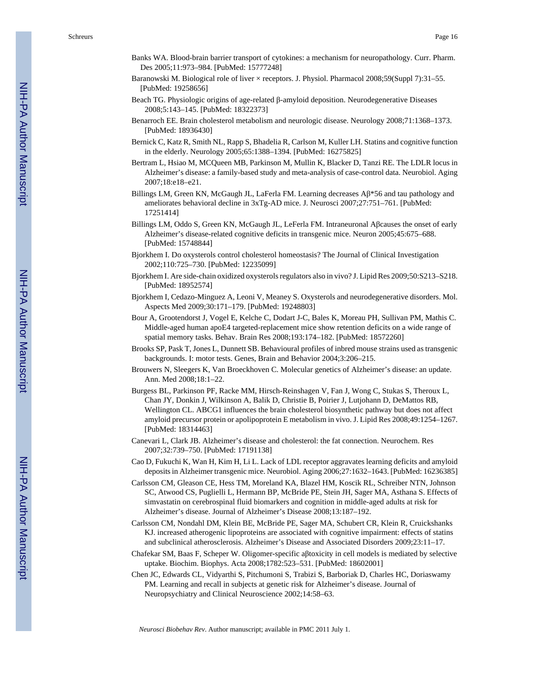- Banks WA. Blood-brain barrier transport of cytokines: a mechanism for neuropathology. Curr. Pharm. Des 2005;11:973–984. [PubMed: 15777248]
- Baranowski M. Biological role of liver × receptors. J. Physiol. Pharmacol 2008;59(Suppl 7):31–55. [PubMed: 19258656]
- Beach TG. Physiologic origins of age-related β-amyloid deposition. Neurodegenerative Diseases 2008;5:143–145. [PubMed: 18322373]
- Benarroch EE. Brain cholesterol metabolism and neurologic disease. Neurology 2008;71:1368–1373. [PubMed: 18936430]
- Bernick C, Katz R, Smith NL, Rapp S, Bhadelia R, Carlson M, Kuller LH. Statins and cognitive function in the elderly. Neurology 2005;65:1388–1394. [PubMed: 16275825]
- Bertram L, Hsiao M, MCQueen MB, Parkinson M, Mullin K, Blacker D, Tanzi RE. The LDLR locus in Alzheimer's disease: a family-based study and meta-analysis of case-control data. Neurobiol. Aging 2007;18:e18–e21.
- Billings LM, Green KN, McGaugh JL, LaFerla FM. Learning decreases Aβ\*56 and tau pathology and ameliorates behavioral decline in 3xTg-AD mice. J. Neurosci 2007;27:751–761. [PubMed: 17251414]
- Billings LM, Oddo S, Green KN, McGaugh JL, LeFerla FM. Intraneuronal Aβcauses the onset of early Alzheimer's disease-related cognitive deficits in transgenic mice. Neuron 2005;45:675–688. [PubMed: 15748844]
- Bjorkhem I. Do oxysterols control cholesterol homeostasis? The Journal of Clinical Investigation 2002;110:725–730. [PubMed: 12235099]
- Bjorkhem I. Are side-chain oxidized oxysterols regulators also in vivo? J. Lipid Res 2009;50:S213–S218. [PubMed: 18952574]
- Bjorkhem I, Cedazo-Minguez A, Leoni V, Meaney S. Oxysterols and neurodegenerative disorders. Mol. Aspects Med 2009;30:171–179. [PubMed: 19248803]
- Bour A, Grootendorst J, Vogel E, Kelche C, Dodart J-C, Bales K, Moreau PH, Sullivan PM, Mathis C. Middle-aged human apoE4 targeted-replacement mice show retention deficits on a wide range of spatial memory tasks. Behav. Brain Res 2008;193:174–182. [PubMed: 18572260]
- Brooks SP, Pask T, Jones L, Dunnett SB. Behavioural profiles of inbred mouse strains used as transgenic backgrounds. I: motor tests. Genes, Brain and Behavior 2004;3:206–215.
- Brouwers N, Sleegers K, Van Broeckhoven C. Molecular genetics of Alzheimer's disease: an update. Ann. Med 2008;18:1–22.
- Burgess BL, Parkinson PF, Racke MM, Hirsch-Reinshagen V, Fan J, Wong C, Stukas S, Theroux L, Chan JY, Donkin J, Wilkinson A, Balik D, Christie B, Poirier J, Lutjohann D, DeMattos RB, Wellington CL. ABCG1 influences the brain cholesterol biosynthetic pathway but does not affect amyloid precursor protein or apolipoprotein E metabolism in vivo. J. Lipid Res 2008;49:1254–1267. [PubMed: 18314463]
- Canevari L, Clark JB. Alzheimer's disease and cholesterol: the fat connection. Neurochem. Res 2007;32:739–750. [PubMed: 17191138]
- Cao D, Fukuchi K, Wan H, Kim H, Li L. Lack of LDL receptor aggravates learning deficits and amyloid deposits in Alzheimer transgenic mice. Neurobiol. Aging 2006;27:1632–1643. [PubMed: 16236385]
- Carlsson CM, Gleason CE, Hess TM, Moreland KA, Blazel HM, Koscik RL, Schreiber NTN, Johnson SC, Atwood CS, Puglielli L, Hermann BP, McBride PE, Stein JH, Sager MA, Asthana S. Effects of simvastatin on cerebrospinal fluid biomarkers and cognition in middle-aged adults at risk for Alzheimer's disease. Journal of Alzheimer's Disease 2008;13:187–192.
- Carlsson CM, Nondahl DM, Klein BE, McBride PE, Sager MA, Schubert CR, Klein R, Cruickshanks KJ. increased atherogenic lipoproteins are associated with cognitive impairment: effects of statins and subclinical atherosclerosis. Alzheimer's Disease and Associated Disorders 2009;23:11–17.
- Chafekar SM, Baas F, Scheper W. Oligomer-specific aβtoxicity in cell models is mediated by selective uptake. Biochim. Biophys. Acta 2008;1782:523–531. [PubMed: 18602001]
- Chen JC, Edwards CL, Vidyarthi S, Pitchumoni S, Trabizi S, Barboriak D, Charles HC, Doriaswamy PM. Learning and recall in subjects at genetic risk for Alzheimer's disease. Journal of Neuropsychiatry and Clinical Neuroscience 2002;14:58–63.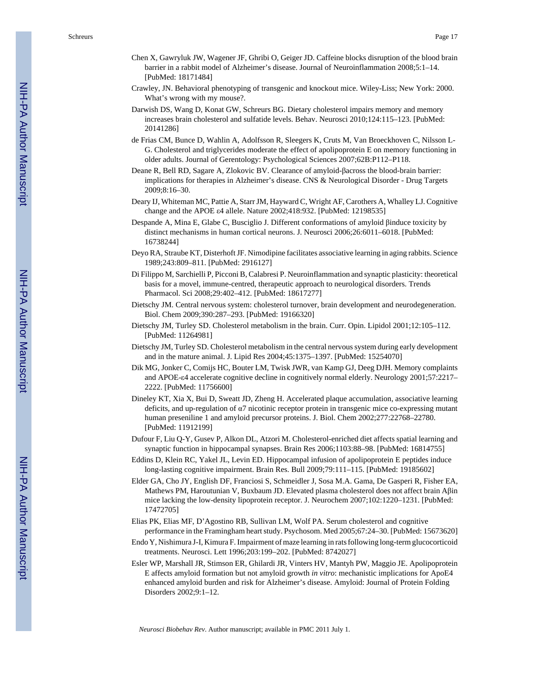- Chen X, Gawryluk JW, Wagener JF, Ghribi O, Geiger JD. Caffeine blocks disruption of the blood brain barrier in a rabbit model of Alzheimer's disease. Journal of Neuroinflammation 2008;5:1–14. [PubMed: 18171484]
- Crawley, JN. Behavioral phenotyping of transgenic and knockout mice. Wiley-Liss; New York: 2000. What's wrong with my mouse?.
- Darwish DS, Wang D, Konat GW, Schreurs BG. Dietary cholesterol impairs memory and memory increases brain cholesterol and sulfatide levels. Behav. Neurosci 2010;124:115–123. [PubMed: 20141286]
- de Frias CM, Bunce D, Wahlin A, Adolfsson R, Sleegers K, Cruts M, Van Broeckhoven C, Nilsson L-G. Cholesterol and triglycerides moderate the effect of apolipoprotein E on memory functioning in older adults. Journal of Gerentology: Psychological Sciences 2007;62B:P112–P118.
- Deane R, Bell RD, Sagare A, Zlokovic BV. Clearance of amyloid-βacross the blood-brain barrier: implications for therapies in Alzheimer's disease. CNS & Neurological Disorder - Drug Targets 2009;8:16–30.
- Deary IJ, Whiteman MC, Pattie A, Starr JM, Hayward C, Wright AF, Carothers A, Whalley LJ. Cognitive change and the APOE ε4 allele. Nature 2002;418:932. [PubMed: 12198535]
- Despande A, Mina E, Glabe C, Busciglio J. Different conformations of amyloid βinduce toxicity by distinct mechanisms in human cortical neurons. J. Neurosci 2006;26:6011–6018. [PubMed: 16738244]
- Deyo RA, Straube KT, Disterhoft JF. Nimodipine facilitates associative learning in aging rabbits. Science 1989;243:809–811. [PubMed: 2916127]
- Di Filippo M, Sarchielli P, Picconi B, Calabresi P. Neuroinflammation and synaptic plasticity: theoretical basis for a movel, immune-centred, therapeutic approach to neurological disorders. Trends Pharmacol. Sci 2008;29:402–412. [PubMed: 18617277]
- Dietschy JM. Central nervous system: cholesterol turnover, brain development and neurodegeneration. Biol. Chem 2009;390:287–293. [PubMed: 19166320]
- Dietschy JM, Turley SD. Cholesterol metabolism in the brain. Curr. Opin. Lipidol 2001;12:105–112. [PubMed: 11264981]
- Dietschy JM, Turley SD. Cholesterol metabolism in the central nervous system during early development and in the mature animal. J. Lipid Res 2004;45:1375–1397. [PubMed: 15254070]
- Dik MG, Jonker C, Comijs HC, Bouter LM, Twisk JWR, van Kamp GJ, Deeg DJH. Memory complaints and APOE-ε4 accelerate cognitive decline in cognitively normal elderly. Neurology 2001;57:2217– 2222. [PubMed: 11756600]
- Dineley KT, Xia X, Bui D, Sweatt JD, Zheng H. Accelerated plaque accumulation, associative learning deficits, and up-regulation of  $\alpha$ 7 nicotinic receptor protein in transgenic mice co-expressing mutant human preseniline 1 and amyloid precursor proteins. J. Biol. Chem 2002;277:22768–22780. [PubMed: 11912199]
- Dufour F, Liu Q-Y, Gusev P, Alkon DL, Atzori M. Cholesterol-enriched diet affects spatial learning and synaptic function in hippocampal synapses. Brain Res 2006;1103:88–98. [PubMed: 16814755]
- Eddins D, Klein RC, Yakel JL, Levin ED. Hippocampal infusion of apolipoprotein E peptides induce long-lasting cognitive impairment. Brain Res. Bull 2009;79:111–115. [PubMed: 19185602]
- Elder GA, Cho JY, English DF, Franciosi S, Schmeidler J, Sosa M.A. Gama, De Gasperi R, Fisher EA, Mathews PM, Haroutunian V, Buxbaum JD. Elevated plasma cholesterol does not affect brain Aβin mice lacking the low-density lipoprotein receptor. J. Neurochem 2007;102:1220–1231. [PubMed: 17472705]
- Elias PK, Elias MF, D'Agostino RB, Sullivan LM, Wolf PA. Serum cholesterol and cognitive performance in the Framingham heart study. Psychosom. Med 2005;67:24–30. [PubMed: 15673620]
- Endo Y, Nishimura J-I, Kimura F. Impairment of maze learning in rats following long-term glucocorticoid treatments. Neurosci. Lett 1996;203:199–202. [PubMed: 8742027]
- Esler WP, Marshall JR, Stimson ER, Ghilardi JR, Vinters HV, Mantyh PW, Maggio JE. Apolipoprotein E affects amyloid formation but not amyloid growth *in vitro*: mechanistic implications for ApoE4 enhanced amyloid burden and risk for Alzheimer's disease. Amyloid: Journal of Protein Folding Disorders 2002;9:1–12.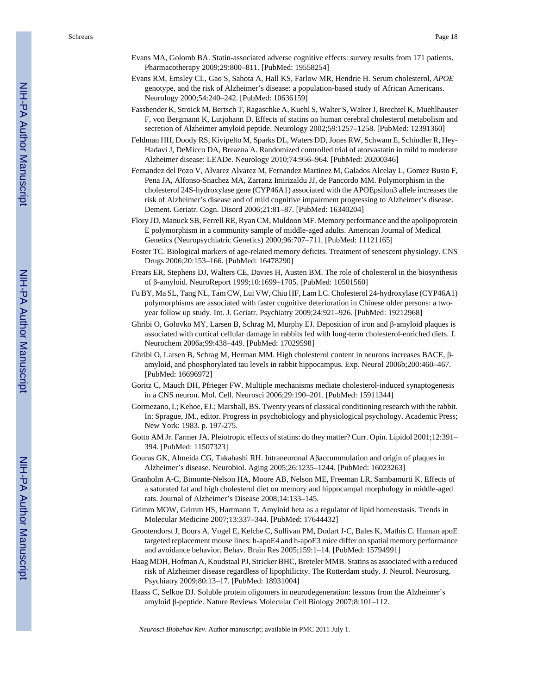- Evans MA, Golomb BA. Statin-associated adverse cognitive effects: survey results from 171 patients. Pharmacotherapy 2009;29:800–811. [PubMed: 19558254]
- Evans RM, Emsley CL, Gao S, Sahota A, Hall KS, Farlow MR, Hendrie H. Serum cholesterol, *APOE* genotype, and the risk of Alzheimer's disease: a population-based study of African Americans. Neurology 2000;54:240–242. [PubMed: 10636159]
- Fassbender K, Stroick M, Bertsch T, Ragaschke A, Kuehl S, Walter S, Walter J, Brechtel K, Muehlhauser F, von Bergmann K, Lutjohann D. Effects of statins on human cerebral cholesterol metabolism and secretion of Alzheimer amyloid peptide. Neurology 2002;59:1257–1258. [PubMed: 12391360]
- Feldman HH, Doody RS, Kivipelto M, Sparks DL, Waters DD, Jones RW, Schwam E, Schindler R, Hey-Hadavi J, DeMicco DA, Breazna A. Randomized controlled trial of atorvastatin in mild to moderate Alzheimer disease: LEADe. Neurology 2010;74:956–964. [PubMed: 20200346]
- Fernandez del Pozo V, Alvarez Alvarez M, Fernandez Martinez M, Galados Alcelay L, Gomez Busto F, Pena JA, Alfonso-Snachez MA, Zarranz Imirizaldu JJ, de Pancordo MM. Polymorphism in the cholesterol 24S-hydroxylase gene (CYP46A1) associated with the APOEpsilon3 allele increases the risk of Alzheimer's disease and of mild cognitive impairment progressing to Alzheimer's disease. Dement. Geriatr. Cogn. Disord 2006;21:81–87. [PubMed: 16340204]
- Flory JD, Manuck SB, Ferrell RE, Ryan CM, Muldoon MF. Memory performance and the apolipoprotein E polymorphism in a community sample of middle-aged adults. American Journal of Medical Genetics (Neuropsychiatric Genetics) 2000;96:707–711. [PubMed: 11121165]
- Foster TC. Biological markers of age-related memory deficits. Treatment of senescent physiology. CNS Drugs 2006;20:153–166. [PubMed: 16478290]
- Frears ER, Stephens DJ, Walters CE, Davies H, Austen BM. The role of cholesterol in the biosynthesis of β-amyloid. NeuroReport 1999;10:1699–1705. [PubMed: 10501560]
- Fu BY, Ma SL, Tang NL, Tam CW, Lui VW, Chiu HF, Lam LC. Cholesterol 24-hydroxylase (CYP46A1) polymorphisms are associated with faster cognitive deterioration in Chinese older persons: a twoyear follow up study. Int. J. Geriatr. Psychiatry 2009;24:921–926. [PubMed: 19212968]
- Ghribi O, Golovko MY, Larsen B, Schrag M, Murphy EJ. Deposition of iron and β-amyloid plaques is associated with cortical cellular damage in rabbits fed with long-term cholesterol-enriched diets. J. Neurochem 2006a;99:438–449. [PubMed: 17029598]
- Ghribi O, Larsen B, Schrag M, Herman MM. High cholesterol content in neurons increases BACE, βamyloid, and phosphorylated tau levels in rabbit hippocampus. Exp. Neurol 2006b;200:460–467. [PubMed: 16696972]
- Goritz C, Mauch DH, Pfrieger FW. Multiple mechanisms mediate cholesterol-induced synaptogenesis in a CNS neuron. Mol. Cell. Neurosci 2006;29:190–201. [PubMed: 15911344]
- Gormezano, I.; Kehoe, EJ.; Marshall, BS. Twenty years of classical conditioning research with the rabbit. In: Sprague, JM., editor. Progress in psychobiology and physiological psychology. Academic Press; New York: 1983. p. 197-275.
- Gotto AM Jr. Farmer JA. Pleiotropic effects of statins: do they matter? Curr. Opin. Lipidol 2001;12:391– 394. [PubMed: 11507323]
- Gouras GK, Almeida CG, Takahashi RH. Intraneuronal Aβaccummulation and origin of plaques in Alzheimer's disease. Neurobiol. Aging 2005;26:1235–1244. [PubMed: 16023263]
- Granholm A-C, Bimonte-Nelson HA, Moore AB, Nelson ME, Freeman LR, Sambamurti K. Effects of a saturated fat and high cholesterol diet on memory and hippocampal morphology in middle-aged rats. Journal of Alzheimer's Disease 2008;14:133–145.
- Grimm MOW, Grimm HS, Hartmann T. Amyloid beta as a regulator of lipid homeostasis. Trends in Molecular Medicine 2007;13:337–344. [PubMed: 17644432]
- Grootendorst J, Bours A, Vogel E, Kelche C, Sullivan PM, Dodart J-C, Bales K, Mathis C. Human apoE targeted replacement mouse lines: h-apoE4 and h-apoE3 mice differ on spatial memory performance and avoidance behavior. Behav. Brain Res 2005;159:1–14. [PubMed: 15794991]
- Haag MDH, Hofman A, Koudstaal PJ, Stricker BHC, Breteler MMB. Statins as associated with a reduced risk of Alzheimer disease regardless of lipophilicity. The Rotterdam study. J. Neurol. Neurosurg. Psychiatry 2009;80:13–17. [PubMed: 18931004]
- Haass C, Selkoe DJ. Soluble protein oligomers in neurodegeneration: lessons from the Alzheimer's amyloid β-peptide. Nature Reviews Molecular Cell Biology 2007;8:101–112.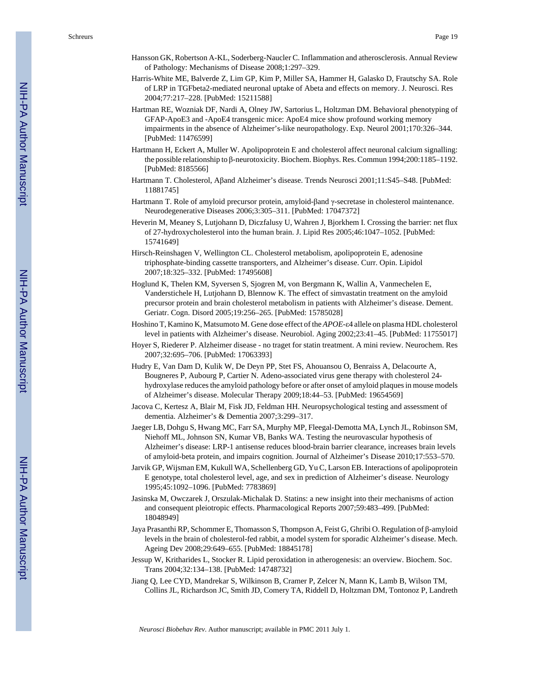- Hansson GK, Robertson A-KL, Soderberg-Naucler C. Inflammation and atherosclerosis. Annual Review of Pathology: Mechanisms of Disease 2008;1:297–329.
- Harris-White ME, Balverde Z, Lim GP, Kim P, Miller SA, Hammer H, Galasko D, Frautschy SA. Role of LRP in TGFbeta2-mediated neuronal uptake of Abeta and effects on memory. J. Neurosci. Res 2004;77:217–228. [PubMed: 15211588]
- Hartman RE, Wozniak DF, Nardi A, Olney JW, Sartorius L, Holtzman DM. Behavioral phenotyping of GFAP-ApoE3 and -ApoE4 transgenic mice: ApoE4 mice show profound working memory impairments in the absence of Alzheimer's-like neuropathology. Exp. Neurol 2001;170:326–344. [PubMed: 11476599]
- Hartmann H, Eckert A, Muller W. Apolipoprotein E and cholesterol affect neuronal calcium signalling: the possible relationship to β-neurotoxicity. Biochem. Biophys. Res. Commun 1994;200:1185–1192. [PubMed: 8185566]
- Hartmann T. Cholesterol, Aβand Alzheimer's disease. Trends Neurosci 2001;11:S45–S48. [PubMed: 11881745]
- Hartmann T. Role of amyloid precursor protein, amyloid-βand γ-secretase in cholesterol maintenance. Neurodegenerative Diseases 2006;3:305–311. [PubMed: 17047372]
- Heverin M, Meaney S, Lutjohann D, Diczfalusy U, Wahren J, Bjorkhem I. Crossing the barrier: net flux of 27-hydroxycholesterol into the human brain. J. Lipid Res 2005;46:1047–1052. [PubMed: 15741649]
- Hirsch-Reinshagen V, Wellington CL. Cholesterol metabolism, apolipoprotein E, adenosine triphosphate-binding cassette transporters, and Alzheimer's disease. Curr. Opin. Lipidol 2007;18:325–332. [PubMed: 17495608]
- Hoglund K, Thelen KM, Syversen S, Sjogren M, von Bergmann K, Wallin A, Vanmechelen E, Vanderstichele H, Lutjohann D, Blennow K. The effect of simvastatin treatment on the amyloid precursor protein and brain cholesterol metabolism in patients with Alzheimer's disease. Dement. Geriatr. Cogn. Disord 2005;19:256–265. [PubMed: 15785028]
- Hoshino T, Kamino K, Matsumoto M. Gene dose effect of the *APOE*-ε4 allele on plasma HDL cholesterol level in patients with Alzheimer's disease. Neurobiol. Aging 2002;23:41–45. [PubMed: 11755017]
- Hoyer S, Riederer P. Alzheimer disease no traget for statin treatment. A mini review. Neurochem. Res 2007;32:695–706. [PubMed: 17063393]
- Hudry E, Van Dam D, Kulik W, De Deyn PP, Stet FS, Ahouansou O, Benraiss A, Delacourte A, Bougneres P, Aubourg P, Cartier N. Adeno-associated virus gene therapy with cholesterol 24 hydroxylase reduces the amyloid pathology before or after onset of amyloid plaques in mouse models of Alzheimer's disease. Molecular Therapy 2009;18:44–53. [PubMed: 19654569]
- Jacova C, Kertesz A, Blair M, Fisk JD, Feldman HH. Neuropsychological testing and assessment of dementia. Alzheimer's & Dementia 2007;3:299–317.
- Jaeger LB, Dohgu S, Hwang MC, Farr SA, Murphy MP, Fleegal-Demotta MA, Lynch JL, Robinson SM, Niehoff ML, Johnson SN, Kumar VB, Banks WA. Testing the neurovascular hypothesis of Alzheimer's disease: LRP-1 antisense reduces blood-brain barrier clearance, increases brain levels of amyloid-beta protein, and impairs cognition. Journal of Alzheimer's Disease 2010;17:553–570.
- Jarvik GP, Wijsman EM, Kukull WA, Schellenberg GD, Yu C, Larson EB. Interactions of apolipoprotein E genotype, total cholesterol level, age, and sex in prediction of Alzheimer's disease. Neurology 1995;45:1092–1096. [PubMed: 7783869]
- Jasinska M, Owczarek J, Orszulak-Michalak D. Statins: a new insight into their mechanisms of action and consequent pleiotropic effects. Pharmacological Reports 2007;59:483–499. [PubMed: 18048949]
- Jaya Prasanthi RP, Schommer E, Thomasson S, Thompson A, Feist G, Ghribi O. Regulation of β-amyloid levels in the brain of cholesterol-fed rabbit, a model system for sporadic Alzheimer's disease. Mech. Ageing Dev 2008;29:649–655. [PubMed: 18845178]
- Jessup W, Kritharides L, Stocker R. Lipid peroxidation in atherogenesis: an overview. Biochem. Soc. Trans 2004;32:134–138. [PubMed: 14748732]
- Jiang Q, Lee CYD, Mandrekar S, Wilkinson B, Cramer P, Zelcer N, Mann K, Lamb B, Wilson TM, Collins JL, Richardson JC, Smith JD, Comery TA, Riddell D, Holtzman DM, Tontonoz P, Landreth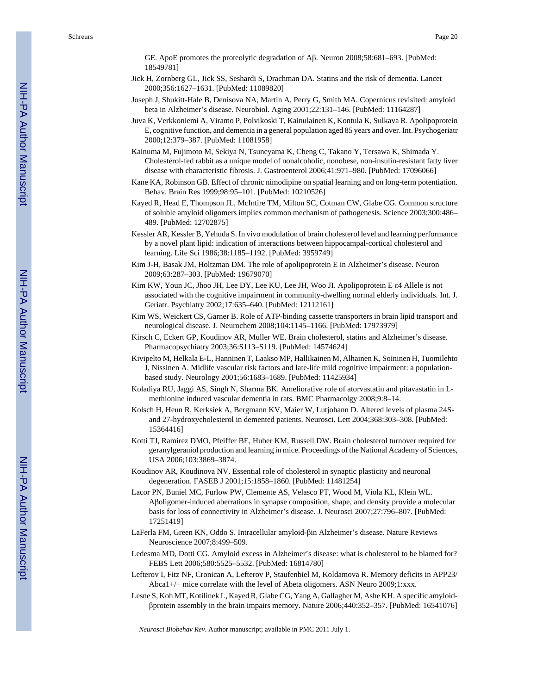GE. ApoE promotes the proteolytic degradation of Aβ. Neuron 2008;58:681–693. [PubMed: 18549781]

- Jick H, Zornberg GL, Jick SS, Seshardi S, Drachman DA. Statins and the risk of dementia. Lancet 2000;356:1627–1631. [PubMed: 11089820]
- Joseph J, Shukitt-Hale B, Denisova NA, Martin A, Perry G, Smith MA. Copernicus revisited: amyloid beta in Alzheimer's disease. Neurobiol. Aging 2001;22:131–146. [PubMed: 11164287]
- Juva K, Verkkoniemi A, Viramo P, Polvikoski T, Kainulainen K, Kontula K, Sulkava R. Apolipoprotein E, cognitive function, and dementia in a general population aged 85 years and over. Int. Psychogeriatr 2000;12:379–387. [PubMed: 11081958]
- Kainuma M, Fujimoto M, Sekiya N, Tsuneyama K, Cheng C, Takano Y, Tersawa K, Shimada Y. Cholesterol-fed rabbit as a unique model of nonalcoholic, nonobese, non-insulin-resistant fatty liver disease with characteristic fibrosis. J. Gastroenterol 2006;41:971–980. [PubMed: 17096066]
- Kane KA, Robinson GB. Effect of chronic nimodipine on spatial learning and on long-term potentiation. Behav. Brain Res 1999;98:95–101. [PubMed: 10210526]
- Kayed R, Head E, Thompson JL, McIntire TM, Milton SC, Cotman CW, Glabe CG. Common structure of soluble amyloid oligomers implies common mechanism of pathogenesis. Science 2003;300:486– 489. [PubMed: 12702875]
- Kessler AR, Kessler B, Yehuda S. In vivo modulation of brain cholesterol level and learning performance by a novel plant lipid: indication of interactions between hippocampal-cortical cholesterol and learning. Life Sci 1986;38:1185–1192. [PubMed: 3959749]
- Kim J-H, Basak JM, Holtzman DM. The role of apolipoprotein E in Alzheimer's disease. Neuron 2009;63:287–303. [PubMed: 19679070]
- Kim KW, Youn JC, Jhoo JH, Lee DY, Lee KU, Lee JH, Woo JI. Apolipoprotein E ε4 Allele is not associated with the cognitive impairment in community-dwelling normal elderly individuals. Int. J. Geriatr. Psychiatry 2002;17:635–640. [PubMed: 12112161]
- Kim WS, Weickert CS, Garner B. Role of ATP-binding cassette transporters in brain lipid transport and neurological disease. J. Neurochem 2008;104:1145–1166. [PubMed: 17973979]
- Kirsch C, Eckert GP, Koudinov AR, Muller WE. Brain cholesterol, statins and Alzheimer's disease. Pharmacopsychiatry 2003;36:S113–S119. [PubMed: 14574624]
- Kivipelto M, Helkala E-L, Hanninen T, Laakso MP, Hallikainen M, Alhainen K, Soininen H, Tuomilehto J, Nissinen A. Midlife vascular risk factors and late-life mild cognitive impairment: a populationbased study. Neurology 2001;56:1683–1689. [PubMed: 11425934]
- Koladiya RU, Jaggi AS, Singh N, Sharma BK. Ameliorative role of atorvastatin and pitavastatin in Lmethionine induced vascular dementia in rats. BMC Pharmacolgy 2008;9:8–14.
- Kolsch H, Heun R, Kerksiek A, Bergmann KV, Maier W, Lutjohann D. Altered levels of plasma 24Sand 27-hydroxycholesterol in demented patients. Neurosci. Lett 2004;368:303–308. [PubMed: 15364416]
- Kotti TJ, Ramirez DMO, Pfeiffer BE, Huber KM, Russell DW. Brain cholesterol turnover required for geranylgeraniol production and learning in mice. Proceedings of the National Academy of Sciences, USA 2006;103:3869–3874.
- Koudinov AR, Koudinova NV. Essential role of cholesterol in synaptic plasticity and neuronal degeneration. FASEB J 2001;15:1858–1860. [PubMed: 11481254]
- Lacor PN, Buniel MC, Furlow PW, Clemente AS, Velasco PT, Wood M, Viola KL, Klein WL. Aβoligomer-induced aberrations in synapse composition, shape, and density provide a molecular basis for loss of connectivity in Alzheimer's disease. J. Neurosci 2007;27:796–807. [PubMed: 17251419]
- LaFerla FM, Green KN, Oddo S. Intracellular amyloid-βin Alzheimer's disease. Nature Reviews Neuroscience 2007;8:499–509.
- Ledesma MD, Dotti CG. Amyloid excess in Alzheimer's disease: what is cholesterol to be blamed for? FEBS Lett 2006;580:5525–5532. [PubMed: 16814780]
- Lefterov I, Fitz NF, Cronican A, Lefterov P, Staufenbiel M, Koldamova R. Memory deficits in APP23/ Abca1+/− mice correlate with the level of Abeta oligomers. ASN Neuro 2009;1:xxx.
- Lesne S, Koh MT, Kotilinek L, Kayed R, Glabe CG, Yang A, Gallagher M, Ashe KH. A specific amyloidβprotein assembly in the brain impairs memory. Nature 2006;440:352–357. [PubMed: 16541076]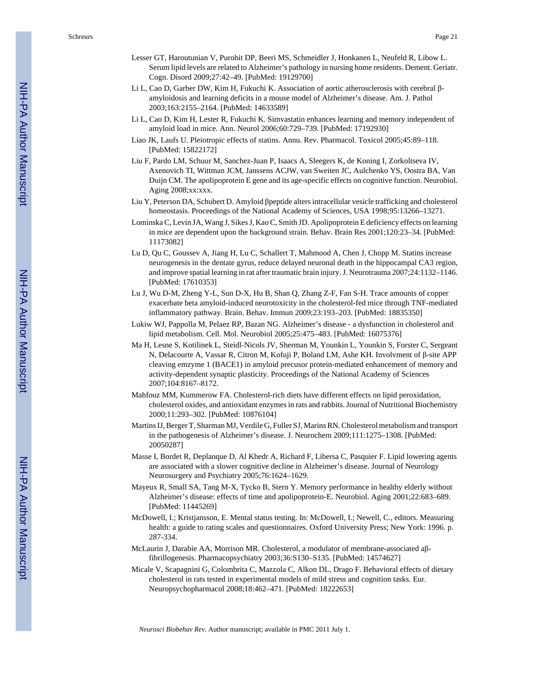- Lesser GT, Haroutunian V, Purohit DP, Beeri MS, Schmeidler J, Honkanen L, Neufeld R, Libow L. Serum lipid levels are related to Alzheimer's pathology in nursing home residents. Dement. Geriatr. Cogn. Disord 2009;27:42–49. [PubMed: 19129700]
- Li L, Cao D, Garber DW, Kim H, Fukuchi K. Association of aortic atherosclerosis with cerebral βamyloidosis and learning deficits in a mouse model of Alzheimer's disease. Am. J. Pathol 2003;163:2155–2164. [PubMed: 14633589]
- Li L, Cao D, Kim H, Lester R, Fukuchi K. Simvastatin enhances learning and memory independent of amyloid load in mice. Ann. Neurol 2006;60:729–739. [PubMed: 17192930]
- Liao JK, Laufs U. Pleiotropic effects of statins. Annu. Rev. Pharmacol. Toxicol 2005;45:89–118. [PubMed: 15822172]
- Liu F, Pardo LM, Schuur M, Sanchez-Juan P, Isaacs A, Sleegers K, de Koning I, Zorkoltseva IV, Axenovich TI, Wittman JCM, Janssens ACJW, van Sweiten JC, Aulchenko YS, Oostra BA, Van Duijn CM. The apolipoprotein E gene and its age-specific effects on cognitive function. Neurobiol. Aging 2008;xx:xxx.
- Liu Y, Peterson DA, Schubert D. Amyloid βpeptide alters intracellular vesicle trafficking and cholesterol homeostasis. Proceedings of the National Academy of Sciences, USA 1998;95:13266–13271.
- Lominska C, Levin JA, Wang J, Sikes J, Kao C, Smith JD. Apolipoprotein E deficiency effects on learning in mice are dependent upon the background strain. Behav. Brain Res 2001;120:23–34. [PubMed: 11173082]
- Lu D, Qu C, Goussev A, Jiang H, Lu C, Schallert T, Mahmood A, Chen J, Chopp M. Statins increase neurogenesis in the dentate gyrus, reduce delayed neuronal death in the hippocampal CA3 region, and improve spatial learning in rat after traumatic brain injury. J. Neurotrauma 2007;24:1132–1146. [PubMed: 17610353]
- Lu J, Wu D-M, Zheng Y-L, Sun D-X, Hu B, Shan Q, Zhang Z-F, Fan S-H. Trace amounts of copper exacerbate beta amyloid-induced neurotoxicity in the cholesterol-fed mice through TNF-mediated inflammatory pathway. Brain. Behav. Immun 2009;23:193–203. [PubMed: 18835350]
- Lukiw WJ, Pappolla M, Pelaez RP, Bazan NG. Alzheimer's disease a dysfunction in cholesterol and lipid metabolism. Cell. Mol. Neurobiol 2005;25:475–483. [PubMed: 16075376]
- Ma H, Lesne S, Kotilinek L, Steidl-Nicols JV, Sherman M, Younkin L, Younkin S, Forster C, Sergeant N, Delacourte A, Vassar R, Citron M, Kofuji P, Boland LM, Ashe KH. Involvment of β-site APP cleaving emzyme 1 (BACE1) in amyloid precusor protein-mediated enhancement of memory and activity-dependent synaptic plasticity. Proceedings of the National Academy of Sciences 2007;104:8167–8172.
- Mahfouz MM, Kummerow FA. Cholesterol-rich diets have different effects on lipid peroxidation, cholesterol oxides, and antioxidant enzymes in rats and rabbits. Journal of Nutritional Biochemistry 2000;11:293–302. [PubMed: 10876104]
- Martins IJ, Berger T, Sharman MJ, Verdile G, Fuller SJ, Marins RN. Cholesterol metabolism and transport in the pathogenesis of Alzheimer's disease. J. Neurochem 2009;111:1275–1308. [PubMed: 20050287]
- Masse I, Bordet R, Deplanque D, Al Khedr A, Richard F, Libersa C, Pasquier F. Lipid lowering agents are associated with a slower cognitive decline in Alzheimer's disease. Journal of Neurology Neurosurgery and Psychiatry 2005;76:1624–1629.
- Mayeux R, Small SA, Tang M-X, Tycko B, Stern Y. Memory performance in healthy elderly without Alzheimer's disease: effects of time and apolipoprotein-E. Neurobiol. Aging 2001;22:683–689. [PubMed: 11445269]
- McDowell, I.; Kristjansson, E. Mental status testing. In: McDowell, I.; Newell, C., editors. Measuring health: a guide to rating scales and questionnaires. Oxford University Press; New York: 1996. p. 287-334.
- McLaurin J, Darabie AA, Morrison MR. Cholesterol, a modulator of membrane-associated aβfibrillogenesis. Pharmacopsychiatry 2003;36:S130–S135. [PubMed: 14574627]
- Micale V, Scapagnini G, Colombrita C, Mazzola C, Alkon DL, Drago F. Behavioral effects of dietary cholesterol in rats tested in experimental models of mild stress and cognition tasks. Eur. Neuropsychopharmacol 2008;18:462–471. [PubMed: 18222653]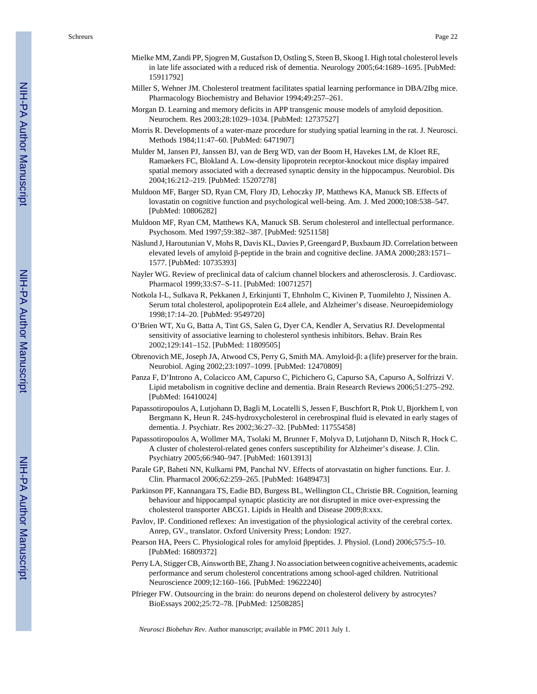- Mielke MM, Zandi PP, Sjogren M, Gustafson D, Ostling S, Steen B, Skoog I. High total cholesterol levels in late life associated with a reduced risk of dementia. Neurology 2005;64:1689–1695. [PubMed: 15911792]
- Miller S, Wehner JM. Cholesterol treatment facilitates spatial learning performance in DBA/2Ibg mice. Pharmacology Biochemistry and Behavior 1994;49:257–261.
- Morgan D. Learning and memory deficits in APP transgenic mouse models of amyloid deposition. Neurochem. Res 2003;28:1029–1034. [PubMed: 12737527]
- Morris R. Developments of a water-maze procedure for studying spatial learning in the rat. J. Neurosci. Methods 1984;11:47–60. [PubMed: 6471907]
- Mulder M, Jansen PJ, Janssen BJ, van de Berg WD, van der Boom H, Havekes LM, de Kloet RE, Ramaekers FC, Blokland A. Low-density lipoprotein receptor-knockout mice display impaired spatial memory associated with a decreased synaptic density in the hippocampus. Neurobiol. Dis 2004;16:212–219. [PubMed: 15207278]
- Muldoon MF, Barger SD, Ryan CM, Flory JD, Lehoczky JP, Matthews KA, Manuck SB. Effects of lovastatin on cognitive function and psychological well-being. Am. J. Med 2000;108:538–547. [PubMed: 10806282]
- Muldoon MF, Ryan CM, Matthews KA, Manuck SB. Serum cholesterol and intellectual performance. Psychosom. Med 1997;59:382–387. [PubMed: 9251158]
- Näslund J, Haroutunian V, Mohs R, Davis KL, Davies P, Greengard P, Buxbaum JD. Correlation between elevated levels of amyloid β-peptide in the brain and cognitive decline. JAMA 2000;283:1571– 1577. [PubMed: 10735393]
- Nayler WG. Review of preclinical data of calcium channel blockers and atherosclerosis. J. Cardiovasc. Pharmacol 1999;33:S7–S-11. [PubMed: 10071257]
- Notkola I-L, Sulkava R, Pekkanen J, Erkinjunti T, Ehnholm C, Kivinen P, Tuomilehto J, Nissinen A. Serum total cholesterol, apolipoprotein Eε4 allele, and Alzheimer's disease. Neuroepidemiology 1998;17:14–20. [PubMed: 9549720]
- O'Brien WT, Xu G, Batta A, Tint GS, Salen G, Dyer CA, Kendler A, Servatius RJ. Developmental sensitivity of associative learning to cholesterol synthesis inhibitors. Behav. Brain Res 2002;129:141–152. [PubMed: 11809505]
- Obrenovich ME, Joseph JA, Atwood CS, Perry G, Smith MA. Amyloid-β: a (life) preserver for the brain. Neurobiol. Aging 2002;23:1097–1099. [PubMed: 12470809]
- Panza F, D'Introno A, Colacicco AM, Capurso C, Pichichero G, Capurso SA, Capurso A, Solfrizzi V. Lipid metabolism in cognitive decline and dementia. Brain Research Reviews 2006;51:275–292. [PubMed: 16410024]
- Papassotiropoulos A, Lutjohann D, Bagli M, Locatelli S, Jessen F, Buschfort R, Ptok U, Bjorkhem I, von Bergmann K, Heun R. 24S-hydroxycholesterol in cerebrospinal fluid is elevated in early stages of dementia. J. Psychiatr. Res 2002;36:27–32. [PubMed: 11755458]
- Papassotiropoulos A, Wollmer MA, Tsolaki M, Brunner F, Molyva D, Lutjohann D, Nitsch R, Hock C. A cluster of cholesterol-related genes confers susceptibility for Alzheimer's disease. J. Clin. Psychiatry 2005;66:940–947. [PubMed: 16013913]
- Parale GP, Baheti NN, Kulkarni PM, Panchal NV. Effects of atorvastatin on higher functions. Eur. J. Clin. Pharmacol 2006;62:259–265. [PubMed: 16489473]
- Parkinson PF, Kannangara TS, Eadie BD, Burgess BL, Wellington CL, Christie BR. Cognition, learning behaviour and hippocampal synaptic plasticity are not disrupted in mice over-expressing the cholesterol transporter ABCG1. Lipids in Health and Disease 2009;8:xxx.
- Pavlov, IP. Conditioned reflexes: An investigation of the physiological activity of the cerebral cortex. Anrep, GV., translator. Oxford University Press; London: 1927.
- Pearson HA, Peers C. Physiological roles for amyloid βpeptides. J. Physiol. (Lond) 2006;575:5–10. [PubMed: 16809372]
- Perry LA, Stigger CB, Ainsworth BE, Zhang J. No association between cognitive acheivements, academic performance and serum cholesterol concentrations among school-aged children. Nutritional Neuroscience 2009;12:160–166. [PubMed: 19622240]
- Pfrieger FW. Outsourcing in the brain: do neurons depend on cholesterol delivery by astrocytes? BioEssays 2002;25:72–78. [PubMed: 12508285]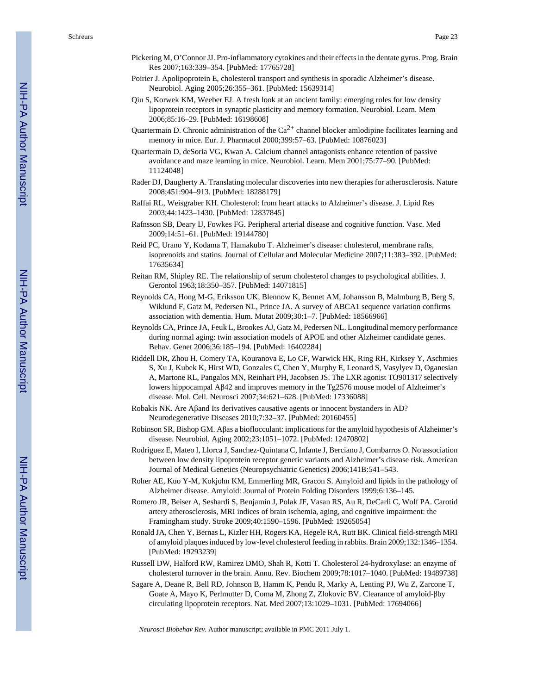- Pickering M, O'Connor JJ. Pro-inflammatory cytokines and their effects in the dentate gyrus. Prog. Brain Res 2007;163:339–354. [PubMed: 17765728]
- Poirier J. Apolipoprotein E, cholesterol transport and synthesis in sporadic Alzheimer's disease. Neurobiol. Aging 2005;26:355–361. [PubMed: 15639314]
- Qiu S, Korwek KM, Weeber EJ. A fresh look at an ancient family: emerging roles for low density lipoprotein receptors in synaptic plasticity and memory formation. Neurobiol. Learn. Mem 2006;85:16–29. [PubMed: 16198608]
- Quartermain D. Chronic administration of the  $Ca^{2+}$  channel blocker amlodipine facilitates learning and memory in mice. Eur. J. Pharmacol 2000;399:57–63. [PubMed: 10876023]
- Quartermain D, deSoria VG, Kwan A. Calcium channel antagonists enhance retention of passive avoidance and maze learning in mice. Neurobiol. Learn. Mem 2001;75:77–90. [PubMed: 11124048]
- Rader DJ, Daugherty A. Translating molecular discoveries into new therapies for atherosclerosis. Nature 2008;451:904–913. [PubMed: 18288179]
- Raffai RL, Weisgraber KH. Cholesterol: from heart attacks to Alzheimer's disease. J. Lipid Res 2003;44:1423–1430. [PubMed: 12837845]
- Rafnsson SB, Deary IJ, Fowkes FG. Peripheral arterial disease and cognitive function. Vasc. Med 2009;14:51–61. [PubMed: 19144780]
- Reid PC, Urano Y, Kodama T, Hamakubo T. Alzheimer's disease: cholesterol, membrane rafts, isoprenoids and statins. Journal of Cellular and Molecular Medicine 2007;11:383–392. [PubMed: 17635634]
- Reitan RM, Shipley RE. The relationship of serum cholesterol changes to psychological abilities. J. Gerontol 1963;18:350–357. [PubMed: 14071815]
- Reynolds CA, Hong M-G, Eriksson UK, Blennow K, Bennet AM, Johansson B, Malmburg B, Berg S, Wiklund F, Gatz M, Pedersen NL, Prince JA. A survey of ABCA1 sequence variation confirms association with dementia. Hum. Mutat 2009;30:1–7. [PubMed: 18566966]
- Reynolds CA, Prince JA, Feuk L, Brookes AJ, Gatz M, Pedersen NL. Longitudinal memory performance during normal aging: twin association models of APOE and other Alzheimer candidate genes. Behav. Genet 2006;36:185–194. [PubMed: 16402284]
- Riddell DR, Zhou H, Comery TA, Kouranova E, Lo CF, Warwick HK, Ring RH, Kirksey Y, Aschmies S, Xu J, Kubek K, Hirst WD, Gonzales C, Chen Y, Murphy E, Leonard S, Vasylyev D, Oganesian A, Martone RL, Pangalos MN, Reinhart PH, Jacobsen JS. The LXR agonist TO901317 selectively lowers hippocampal Aβ42 and improves memory in the Tg2576 mouse model of Alzheimer's disease. Mol. Cell. Neurosci 2007;34:621–628. [PubMed: 17336088]
- Robakis NK. Are Aβand Its derivatives causative agents or innocent bystanders in AD? Neurodegenerative Diseases 2010;7:32–37. [PubMed: 20160455]
- Robinson SR, Bishop GM. Aβas a bioflocculant: implications for the amyloid hypothesis of Alzheimer's disease. Neurobiol. Aging 2002;23:1051–1072. [PubMed: 12470802]
- Rodriguez E, Mateo I, Llorca J, Sanchez-Quintana C, Infante J, Berciano J, Combarros O. No association between low density lipoprotein receptor genetic variants and Alzheimer's disease risk. American Journal of Medical Genetics (Neuropsychiatric Genetics) 2006;141B:541–543.
- Roher AE, Kuo Y-M, Kokjohn KM, Emmerling MR, Gracon S. Amyloid and lipids in the pathology of Alzheimer disease. Amyloid: Journal of Protein Folding Disorders 1999;6:136–145.
- Romero JR, Beiser A, Seshardi S, Benjamin J, Polak JF, Vasan RS, Au R, DeCarli C, Wolf PA. Carotid artery atherosclerosis, MRI indices of brain ischemia, aging, and cognitive impairment: the Framingham study. Stroke 2009;40:1590–1596. [PubMed: 19265054]
- Ronald JA, Chen Y, Bernas L, Kizler HH, Rogers KA, Hegele RA, Rutt BK. Clinical field-strength MRI of amyloid plaques induced by low-level cholesterol feeding in rabbits. Brain 2009;132:1346–1354. [PubMed: 19293239]
- Russell DW, Halford RW, Ramirez DMO, Shah R, Kotti T. Cholesterol 24-hydroxylase: an enzyme of cholesterol turnover in the brain. Annu. Rev. Biochem 2009;78:1017–1040. [PubMed: 19489738]
- Sagare A, Deane R, Bell RD, Johnson B, Hamm K, Pendu R, Marky A, Lenting PJ, Wu Z, Zarcone T, Goate A, Mayo K, Perlmutter D, Coma M, Zhong Z, Zlokovic BV. Clearance of amyloid-βby circulating lipoprotein receptors. Nat. Med 2007;13:1029–1031. [PubMed: 17694066]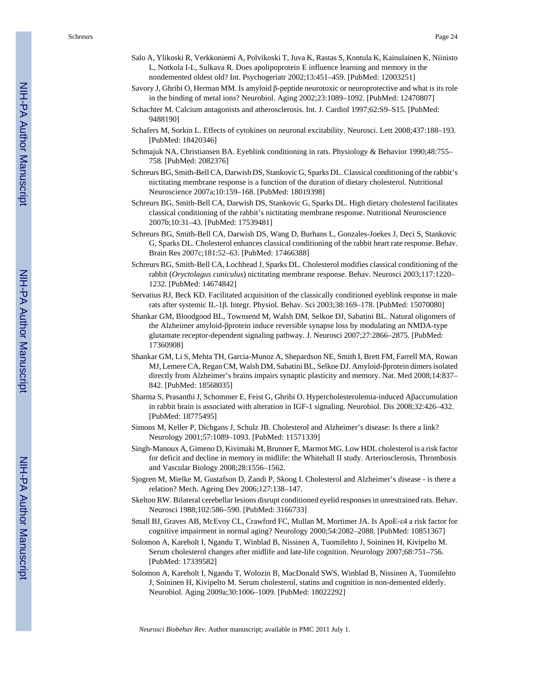- Salo A, Ylikoski R, Verkkoniemi A, Polvikoski T, Juva K, Rastas S, Kontula K, Kainulainen K, Niinisto L, Notkola I-L, Sulkava R. Does apolipoprotein E influence learning and memory in the nondemented oldest old? Int. Psychogeriatr 2002;13:451–459. [PubMed: 12003251]
- Savory J, Ghribi O, Herman MM. Is amyloid β-peptide neurotoxic or neuroprotective and what is its role in the binding of metal ions? Neurobiol. Aging 2002;23:1089–1092. [PubMed: 12470807]
- Schachter M. Calcium antagonists and atherosclerosis. Int. J. Cardiol 1997;62:S9–S15. [PubMed: 9488190]
- Schafers M, Sorkin L. Effects of cytokines on neuronal excitability. Neurosci. Lett 2008;437:188–193. [PubMed: 18420346]
- Schmajuk NA, Christiansen BA. Eyeblink conditioning in rats. Physiology & Behavior 1990;48:755– 758. [PubMed: 2082376]
- Schreurs BG, Smith-Bell CA, Darwish DS, Stankovic G, Sparks DL. Classical conditioning of the rabbit's nictitating membrane response is a function of the duration of dietary cholesterol. Nutritional Neuroscience 2007a;10:159–168. [PubMed: 18019398]
- Schreurs BG, Smith-Bell CA, Darwish DS, Stankovic G, Sparks DL. High dietary cholesterol facilitates classical conditioning of the rabbit's nictitating membrane response. Nutritional Neuroscience 2007b;10:31–43. [PubMed: 17539481]
- Schreurs BG, Smith-Bell CA, Darwish DS, Wang D, Burhans L, Gonzales-Joekes J, Deci S, Stankovic G, Sparks DL. Cholesterol enhances classical conditioning of the rabbit heart rate response. Behav. Brain Res 2007c;181:52–63. [PubMed: 17466388]
- Schreurs BG, Smith-Bell CA, Lochhead J, Sparks DL. Cholesterol modifies classical conditioning of the rabbit (*Oryctolagus cuniculus*) nictitating membrane response. Behav. Neurosci 2003;117:1220– 1232. [PubMed: 14674842]
- Servatius RJ, Beck KD. Facilitated acquisition of the classically conditioned eyeblink response in male rats after systemic IL-1β. Integr. Physiol. Behav. Sci 2003;38:169–178. [PubMed: 15070080]
- Shankar GM, Bloodgood BL, Townsend M, Walsh DM, Selkoe DJ, Sabatini BL. Natural oligomers of the Alzheimer amyloid-βprotein induce reversible synapse loss by modulating an NMDA-type glutamate receptor-dependent signaling pathway. J. Neurosci 2007;27:2866–2875. [PubMed: 17360908]
- Shankar GM, Li S, Mehta TH, Garcia-Munoz A, Shepardson NE, Smith I, Brett FM, Farrell MA, Rowan MJ, Lemere CA, Regan CM, Walsh DM, Sabatini BL, Selkoe DJ. Amyloid-βprotein dimers isolated directly from Alzheimer's brains impairs synaptic plasticity and memory. Nat. Med 2008;14:837– 842. [PubMed: 18568035]
- Sharma S, Prasanthi J, Schommer E, Feist G, Ghribi O. Hypercholesterolemia-induced Aβaccumulation in rabbit brain is associated with alteration in IGF-1 signaling. Neurobiol. Dis 2008;32:426–432. [PubMed: 18775495]
- Simons M, Keller P, Dichgans J, Schulz JB. Cholesterol and Alzheimer's disease: Is there a link? Neurology 2001;57:1089–1093. [PubMed: 11571339]
- Singh-Manoux A, Gimeno D, Kivimaki M, Brunner E, Marmot MG. Low HDL cholesterol is a risk factor for deficit and decline in memory in midlife: the Whitehall II study. Arteriosclerosis, Thrombosis and Vascular Biology 2008;28:1556–1562.
- Sjogren M, Mielke M, Gustafson D, Zandi P, Skoog I. Cholesterol and Alzheimer's disease is there a relation? Mech. Ageing Dev 2006;127:138–147.
- Skelton RW. Bilateral cerebellar lesions disrupt conditioned eyelid responses in unrestrained rats. Behav. Neurosci 1988;102:586–590. [PubMed: 3166733]
- Small BJ, Graves AB, McEvoy CL, Crawford FC, Mullan M, Mortimer JA. Is ApoE-ε4 a risk factor for cognitive impairment in normal aging? Neurology 2000;54:2082–2088. [PubMed: 10851367]
- Solomon A, Kareholt I, Ngandu T, Winblad B, Nissinen A, Tuomilehto J, Soininen H, Kivipelto M. Serum cholesterol changes after midlife and late-life cognition. Neurology 2007;68:751–756. [PubMed: 17339582]
- Solomon A, Kareholt I, Ngandu T, Wolozin B, MacDonald SWS, Winblad B, Nissinen A, Tuomilehto J, Soininen H, Kivipelto M. Serum cholesterol, statins and cognition in non-demented elderly. Neurobiol. Aging 2009a;30:1006–1009. [PubMed: 18022292]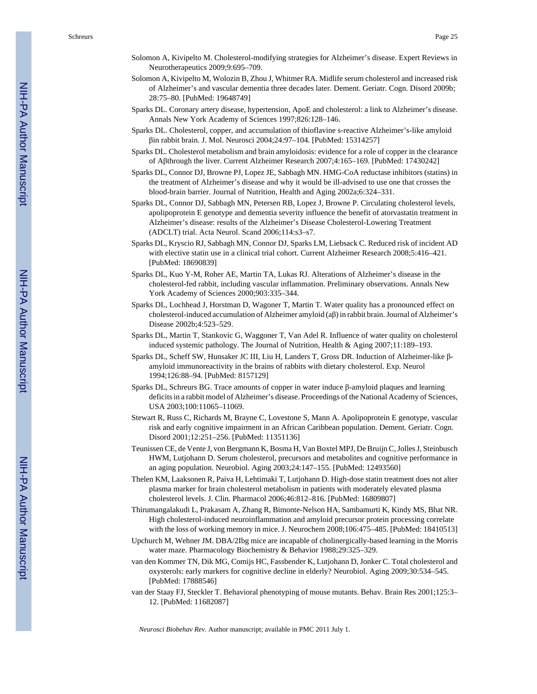- Solomon A, Kivipelto M. Cholesterol-modifying strategies for Alzheimer's disease. Expert Reviews in Neurotherapeutics 2009;9:695–709.
- Solomon A, Kivipelto M, Wolozin B, Zhou J, Whitmer RA. Midlife serum cholesterol and increased risk of Alzheimer's and vascular dementia three decades later. Dement. Geriatr. Cogn. Disord 2009b; 28:75–80. [PubMed: 19648749]
- Sparks DL. Coronary artery disease, hypertension, ApoE and cholesterol: a link to Alzheimer's disease. Annals New York Academy of Sciences 1997;826:128–146.
- Sparks DL. Cholesterol, copper, and accumulation of thioflavine s-reactive Alzheimer's-like amyloid βin rabbit brain. J. Mol. Neurosci 2004;24:97–104. [PubMed: 15314257]
- Sparks DL. Cholesterol metabolism and brain amyloidosis: evidence for a role of copper in the clearance of Aβthrough the liver. Current Alzheimer Research 2007;4:165–169. [PubMed: 17430242]
- Sparks DL, Connor DJ, Browne PJ, Lopez JE, Sabbagh MN. HMG-CoA reductase inhibitors (statins) in the treatment of Alzheimer's disease and why it would be ill-advised to use one that crosses the blood-brain barrier. Journal of Nutrition, Health and Aging 2002a;6:324–331.
- Sparks DL, Connor DJ, Sabbagh MN, Petersen RB, Lopez J, Browne P. Circulating cholesterol levels, apolipoprotein E genotype and dementia severity influence the benefit of atorvastatin treatment in Alzheimer's disease: results of the Alzheimer's Disease Cholesterol-Lowering Treatment (ADCLT) trial. Acta Neurol. Scand 2006;114:s3–s7.
- Sparks DL, Kryscio RJ, Sabbagh MN, Connor DJ, Sparks LM, Liebsack C. Reduced risk of incident AD with elective statin use in a clinical trial cohort. Current Alzheimer Research 2008;5:416–421. [PubMed: 18690839]
- Sparks DL, Kuo Y-M, Roher AE, Martin TA, Lukas RJ. Alterations of Alzheimer's disease in the cholesterol-fed rabbit, including vascular inflammation. Preliminary observations. Annals New York Academy of Sciences 2000;903:335–344.
- Sparks DL, Lochhead J, Horstman D, Wagoner T, Martin T. Water quality has a pronounced effect on cholesterol-induced accumulation of Alzheimer amyloid (aβ) in rabbit brain. Journal of Alzheimer's Disease 2002b;4:523–529.
- Sparks DL, Martin T, Stankovic G, Waggoner T, Van Adel R. Influence of water quality on cholesterol induced systemic pathology. The Journal of Nutrition, Health & Aging 2007;11:189–193.
- Sparks DL, Scheff SW, Hunsaker JC III, Liu H, Landers T, Gross DR. Induction of Alzheimer-like βamyloid immunoreactivity in the brains of rabbits with dietary cholesterol. Exp. Neurol 1994;126:88–94. [PubMed: 8157129]
- Sparks DL, Schreurs BG. Trace amounts of copper in water induce β-amyloid plaques and learning deficits in a rabbit model of Alzheimer's disease. Proceedings of the National Academy of Sciences, USA 2003;100:11065–11069.
- Stewart R, Russ C, Richards M, Brayne C, Lovestone S, Mann A. Apolipoprotein E genotype, vascular risk and early cognitive impairment in an African Caribbean population. Dement. Geriatr. Cogn. Disord 2001;12:251–256. [PubMed: 11351136]
- Teunissen CE, de Vente J, von Bergmann K, Bosma H, Van Boxtel MPJ, De Bruijn C, Jolles J, Steinbusch HWM, Lutjohann D. Serum cholesterol, precursors and metabolites and cognitive performance in an aging population. Neurobiol. Aging 2003;24:147–155. [PubMed: 12493560]
- Thelen KM, Laaksonen R, Paiva H, Lehtimaki T, Lutjohann D. High-dose statin treatment does not alter plasma marker for brain cholesterol metabolism in patients with moderately elevated plasma cholesterol levels. J. Clin. Pharmacol 2006;46:812–816. [PubMed: 16809807]
- Thirumangalakudi L, Prakasam A, Zhang R, Bimonte-Nelson HA, Sambamurti K, Kindy MS, Bhat NR. High cholesterol-induced neuroinflammation and amyloid precursor protein processing correlate with the loss of working memory in mice. J. Neurochem 2008;106:475–485. [PubMed: 18410513]
- Upchurch M, Wehner JM. DBA/2Ibg mice are incapable of cholinergically-based learning in the Morris water maze. Pharmacology Biochemistry & Behavior 1988;29:325–329.
- van den Kommer TN, Dik MG, Comijs HC, Fassbender K, Lutjohann D, Jonker C. Total cholesterol and oxysterols: early markers for cognitive decline in elderly? Neurobiol. Aging 2009;30:534–545. [PubMed: 17888546]
- van der Staay FJ, Steckler T. Behavioral phenotyping of mouse mutants. Behav. Brain Res 2001;125:3– 12. [PubMed: 11682087]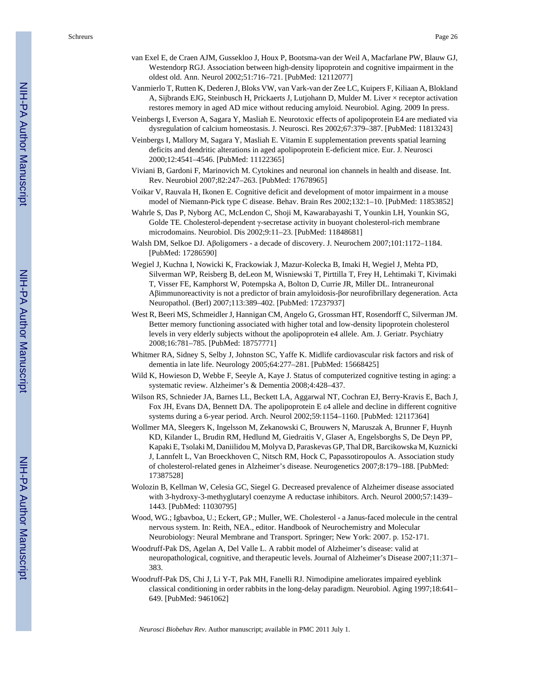- van Exel E, de Craen AJM, Gussekloo J, Houx P, Bootsma-van der Weil A, Macfarlane PW, Blauw GJ, Westendorp RGJ. Association between high-density lipoprotein and cognitive impairment in the oldest old. Ann. Neurol 2002;51:716–721. [PubMed: 12112077]
- Vanmierlo T, Rutten K, Dederen J, Bloks VW, van Vark-van der Zee LC, Kuipers F, Kiliaan A, Blokland A, Sijbrands EJG, Steinbusch H, Prickaerts J, Lutjohann D, Mulder M. Liver × receptor activation restores memory in aged AD mice without reducing amyloid. Neurobiol. Aging. 2009 In press.
- Veinbergs I, Everson A, Sagara Y, Masliah E. Neurotoxic effects of apolipoprotein E4 are mediated via dysregulation of calcium homeostasis. J. Neurosci. Res 2002;67:379–387. [PubMed: 11813243]
- Veinbergs I, Mallory M, Sagara Y, Masliah E. Vitamin E supplementation prevents spatial learning deficits and dendritic alterations in aged apolipoprotein E-deficient mice. Eur. J. Neurosci 2000;12:4541–4546. [PubMed: 11122365]
- Viviani B, Gardoni F, Marinovich M. Cytokines and neuronal ion channels in health and disease. Int. Rev. Neurobiol 2007;82:247–263. [PubMed: 17678965]
- Voikar V, Rauvala H, Ikonen E. Cognitive deficit and development of motor impairment in a mouse model of Niemann-Pick type C disease. Behav. Brain Res 2002;132:1–10. [PubMed: 11853852]
- Wahrle S, Das P, Nyborg AC, McLendon C, Shoji M, Kawarabayashi T, Younkin LH, Younkin SG, Golde TE. Cholesterol-dependent γ-secretase activity in buoyant cholesterol-rich membrane microdomains. Neurobiol. Dis 2002;9:11–23. [PubMed: 11848681]
- Walsh DM, Selkoe DJ. Aβoligomers a decade of discovery. J. Neurochem 2007;101:1172–1184. [PubMed: 17286590]
- Wegiel J, Kuchna I, Nowicki K, Frackowiak J, Mazur-Kolecka B, Imaki H, Wegiel J, Mehta PD, Silverman WP, Reisberg B, deLeon M, Wisniewski T, Pirttilla T, Frey H, Lehtimaki T, Kivimaki T, Visser FE, Kamphorst W, Potempska A, Bolton D, Currie JR, Miller DL. Intraneuronal Aβimmunoreactivity is not a predictor of brain amyloidosis-βor neurofibrillary degeneration. Acta Neuropathol. (Berl) 2007;113:389–402. [PubMed: 17237937]
- West R, Beeri MS, Schmeidler J, Hannigan CM, Angelo G, Grossman HT, Rosendorff C, Silverman JM. Better memory functioning associated with higher total and low-density lipoprotein cholesterol levels in very elderly subjects without the apolipoprotein e4 allele. Am. J. Geriatr. Psychiatry 2008;16:781–785. [PubMed: 18757771]
- Whitmer RA, Sidney S, Selby J, Johnston SC, Yaffe K. Midlife cardiovascular risk factors and risk of dementia in late life. Neurology 2005;64:277–281. [PubMed: 15668425]
- Wild K, Howieson D, Webbe F, Seeyle A, Kaye J. Status of computerized cognitive testing in aging: a systematic review. Alzheimer's & Dementia 2008;4:428–437.
- Wilson RS, Schnieder JA, Barnes LL, Beckett LA, Aggarwal NT, Cochran EJ, Berry-Kravis E, Bach J, Fox JH, Evans DA, Bennett DA. The apolipoprotein E ε4 allele and decline in different cognitive systems during a 6-year period. Arch. Neurol 2002;59:1154–1160. [PubMed: 12117364]
- Wollmer MA, Sleegers K, Ingelsson M, Zekanowski C, Brouwers N, Maruszak A, Brunner F, Huynh KD, Kilander L, Brudin RM, Hedlund M, Giedraitis V, Glaser A, Engelsborghs S, De Deyn PP, Kapaki E, Tsolaki M, Daniilidou M, Molyva D, Paraskevas GP, Thal DR, Barcikowska M, Kuznicki J, Lannfelt L, Van Broeckhoven C, Nitsch RM, Hock C, Papassotiropoulos A. Association study of cholesterol-related genes in Alzheimer's disease. Neurogenetics 2007;8:179–188. [PubMed: 17387528]
- Wolozin B, Kellman W, Celesia GC, Siegel G. Decreased prevalence of Alzheimer disease associated with 3-hydroxy-3-methyglutaryl coenzyme A reductase inhibitors. Arch. Neurol 2000;57:1439– 1443. [PubMed: 11030795]
- Wood, WG.; Igbavboa, U.; Eckert, GP.; Muller, WE. Cholesterol a Janus-faced molecule in the central nervous system. In: Reith, NEA., editor. Handbook of Neurochemistry and Molecular Neurobiology: Neural Membrane and Transport. Springer; New York: 2007. p. 152-171.
- Woodruff-Pak DS, Agelan A, Del Valle L. A rabbit model of Alzheimer's disease: valid at neuropathological, cognitive, and therapeutic levels. Journal of Alzheimer's Disease 2007;11:371– 383.
- Woodruff-Pak DS, Chi J, Li Y-T, Pak MH, Fanelli RJ. Nimodipine ameliorates impaired eyeblink classical conditioning in order rabbits in the long-delay paradigm. Neurobiol. Aging 1997;18:641– 649. [PubMed: 9461062]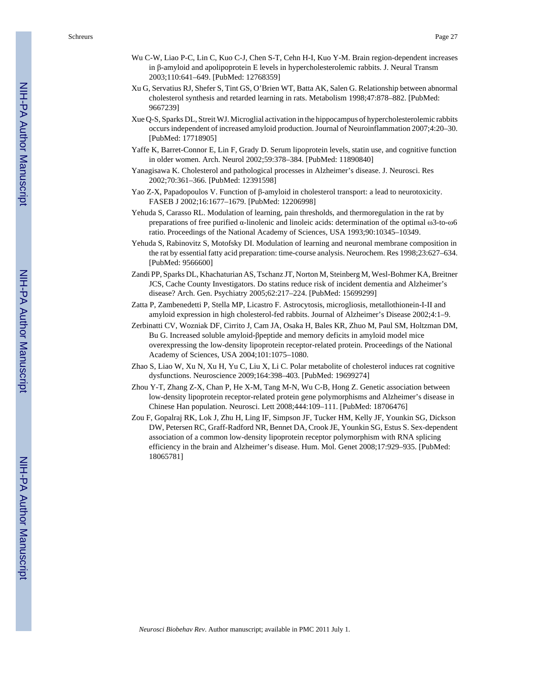- Wu C-W, Liao P-C, Lin C, Kuo C-J, Chen S-T, Cehn H-I, Kuo Y-M. Brain region-dependent increases in β-amyloid and apolipoprotein E levels in hypercholesterolemic rabbits. J. Neural Transm 2003;110:641–649. [PubMed: 12768359]
- Xu G, Servatius RJ, Shefer S, Tint GS, O'Brien WT, Batta AK, Salen G. Relationship between abnormal cholesterol synthesis and retarded learning in rats. Metabolism 1998;47:878–882. [PubMed: 9667239]
- Xue Q-S, Sparks DL, Streit WJ. Microglial activation in the hippocampus of hypercholesterolemic rabbits occurs independent of increased amyloid production. Journal of Neuroinflammation 2007;4:20–30. [PubMed: 17718905]
- Yaffe K, Barret-Connor E, Lin F, Grady D. Serum lipoprotein levels, statin use, and cognitive function in older women. Arch. Neurol 2002;59:378–384. [PubMed: 11890840]
- Yanagisawa K. Cholesterol and pathological processes in Alzheimer's disease. J. Neurosci. Res 2002;70:361–366. [PubMed: 12391598]
- Yao Z-X, Papadopoulos V. Function of β-amyloid in cholesterol transport: a lead to neurotoxicity. FASEB J 2002;16:1677–1679. [PubMed: 12206998]
- Yehuda S, Carasso RL. Modulation of learning, pain thresholds, and thermoregulation in the rat by preparations of free purified α-linolenic and linoleic acids: determination of the optimal ω3-to-ω6 ratio. Proceedings of the National Academy of Sciences, USA 1993;90:10345–10349.
- Yehuda S, Rabinovitz S, Motofsky DI. Modulation of learning and neuronal membrane composition in the rat by essential fatty acid preparation: time-course analysis. Neurochem. Res 1998;23:627–634. [PubMed: 9566600]
- Zandi PP, Sparks DL, Khachaturian AS, Tschanz JT, Norton M, Steinberg M, Wesl-Bohmer KA, Breitner JCS, Cache County Investigators. Do statins reduce risk of incident dementia and Alzheimer's disease? Arch. Gen. Psychiatry 2005;62:217–224. [PubMed: 15699299]
- Zatta P, Zambenedetti P, Stella MP, Licastro F. Astrocytosis, microgliosis, metallothionein-I-II and amyloid expression in high cholesterol-fed rabbits. Journal of Alzheimer's Disease 2002;4:1–9.
- Zerbinatti CV, Wozniak DF, Cirrito J, Cam JA, Osaka H, Bales KR, Zhuo M, Paul SM, Holtzman DM, Bu G. Increased soluble amyloid-βpeptide and memory deficits in amyloid model mice overexpressing the low-density lipoprotein receptor-related protein. Proceedings of the National Academy of Sciences, USA 2004;101:1075–1080.
- Zhao S, Liao W, Xu N, Xu H, Yu C, Liu X, Li C. Polar metabolite of cholesterol induces rat cognitive dysfunctions. Neuroscience 2009;164:398–403. [PubMed: 19699274]
- Zhou Y-T, Zhang Z-X, Chan P, He X-M, Tang M-N, Wu C-B, Hong Z. Genetic association between low-density lipoprotein receptor-related protein gene polymorphisms and Alzheimer's disease in Chinese Han population. Neurosci. Lett 2008;444:109–111. [PubMed: 18706476]
- Zou F, Gopalraj RK, Lok J, Zhu H, Ling IF, Simpson JF, Tucker HM, Kelly JF, Younkin SG, Dickson DW, Petersen RC, Graff-Radford NR, Bennet DA, Crook JE, Younkin SG, Estus S. Sex-dependent association of a common low-density lipoprotein receptor polymorphism with RNA splicing efficiency in the brain and Alzheimer's disease. Hum. Mol. Genet 2008;17:929–935. [PubMed: 18065781]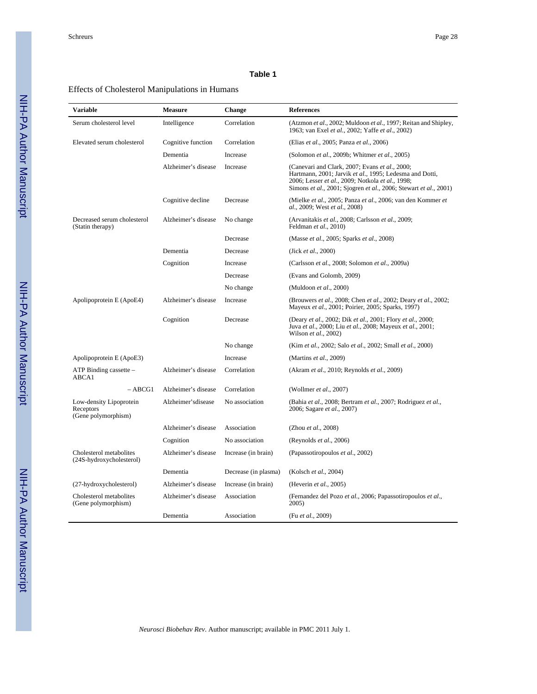#### **Table 1**

## Effects of Cholesterol Manipulations in Humans

| Variable                                                    | <b>Measure</b>      | <b>Change</b>        | <b>References</b>                                                                                                                                                                                                                 |
|-------------------------------------------------------------|---------------------|----------------------|-----------------------------------------------------------------------------------------------------------------------------------------------------------------------------------------------------------------------------------|
| Serum cholesterol level                                     | Intelligence        | Correlation          | (Atzmon et al., 2002; Muldoon et al., 1997; Reitan and Shipley,<br>1963; van Exel et al., 2002; Yaffe et al., 2002)                                                                                                               |
| Elevated serum cholesterol                                  | Cognitive function  | Correlation          | (Elias et al., 2005; Panza et al., 2006)                                                                                                                                                                                          |
|                                                             | Dementia            | Increase             | (Solomon et al., 2009b; Whitmer et al., 2005)                                                                                                                                                                                     |
|                                                             | Alzheimer's disease | Increase             | (Canevari and Clark, 2007; Evans et al., 2000;<br>Hartmann, 2001; Jarvik et al., 1995; Ledesma and Dotti,<br>2006; Lesser et al., 2009; Notkola et al., 1998;<br>Simons et al., 2001; Sjogren et al., 2006; Stewart et al., 2001) |
|                                                             | Cognitive decline   | Decrease             | (Mielke et al., 2005; Panza et al., 2006; van den Kommer et<br>al., 2009; West et al., 2008)                                                                                                                                      |
| Decreased serum cholesterol<br>(Statin therapy)             | Alzheimer's disease | No change            | (Arvanitakis et al., 2008; Carlsson et al., 2009;<br>Feldman et al., 2010)                                                                                                                                                        |
|                                                             |                     | Decrease             | (Masse et al., 2005; Sparks et al., 2008)                                                                                                                                                                                         |
|                                                             | Dementia            | Decrease             | (Jick et al., 2000)                                                                                                                                                                                                               |
|                                                             | Cognition           | Increase             | (Carlsson et al., 2008; Solomon et al., 2009a)                                                                                                                                                                                    |
|                                                             |                     | Decrease             | (Evans and Golomb, 2009)                                                                                                                                                                                                          |
|                                                             |                     | No change            | (Muldoon et al., 2000)                                                                                                                                                                                                            |
| Apolipoprotein E (ApoE4)                                    | Alzheimer's disease | Increase             | (Brouwers et al., 2008; Chen et al., 2002; Deary et al., 2002;<br>Mayeux et al., 2001; Poirier, 2005; Sparks, 1997)                                                                                                               |
|                                                             | Cognition           | Decrease             | (Deary et al., 2002; Dik et al., 2001; Flory et al., 2000;<br>Juva et al., 2000; Liu et al., 2008; Mayeux et al., 2001;<br>Wilson et al., 2002)                                                                                   |
|                                                             |                     | No change            | (Kim et al., 2002; Salo et al., 2002; Small et al., 2000)                                                                                                                                                                         |
| Apolipoprotein E (ApoE3)                                    |                     | Increase             | (Martins et al., 2009)                                                                                                                                                                                                            |
| ATP Binding cassette -<br>ABCA1                             | Alzheimer's disease | Correlation          | (Akram et al., 2010; Reynolds et al., 2009)                                                                                                                                                                                       |
| $- ABCG1$                                                   | Alzheimer's disease | Correlation          | (Wollmer et al., 2007)                                                                                                                                                                                                            |
| Low-density Lipoprotein<br>Receptors<br>(Gene polymorphism) | Alzheimer'sdisease  | No association       | (Bahia et al., 2008; Bertram et al., 2007; Rodriguez et al.,<br>2006; Sagare et al., 2007)                                                                                                                                        |
|                                                             | Alzheimer's disease | Association          | (Zhou et al., 2008)                                                                                                                                                                                                               |
|                                                             | Cognition           | No association       | (Reynolds et al., 2006)                                                                                                                                                                                                           |
| Cholesterol metabolites<br>(24S-hydroxycholesterol)         | Alzheimer's disease | Increase (in brain)  | (Papassotiropoulos et al., 2002)                                                                                                                                                                                                  |
|                                                             | Dementia            | Decrease (in plasma) | (Kolsch et al., 2004)                                                                                                                                                                                                             |
| (27-hydroxycholesterol)                                     | Alzheimer's disease | Increase (in brain)  | (Heverin et al., 2005)                                                                                                                                                                                                            |
| Cholesterol metabolites<br>(Gene polymorphism)              | Alzheimer's disease | Association          | (Fernandez del Pozo et al., 2006; Papassotiropoulos et al.,<br>2005)                                                                                                                                                              |
|                                                             | Dementia            | Association          | (Fu et al., 2009)                                                                                                                                                                                                                 |